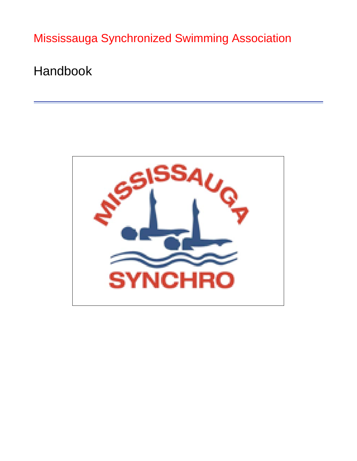Mississauga Synchronized Swimming Association

Handbook

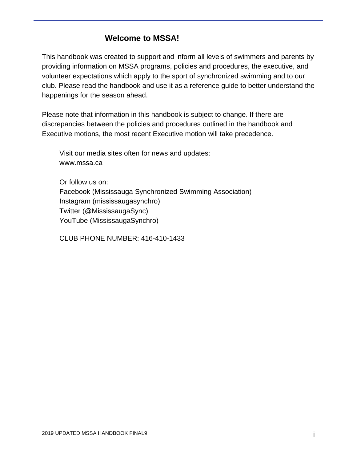# **Welcome to MSSA!**

This handbook was created to support and inform all levels of swimmers and parents by providing information on MSSA programs, policies and procedures, the executive, and volunteer expectations which apply to the sport of synchronized swimming and to our club. Please read the handbook and use it as a reference guide to better understand the happenings for the season ahead.

Please note that information in this handbook is subject to change. If there are discrepancies between the policies and procedures outlined in the handbook and Executive motions, the most recent Executive motion will take precedence.

Visit our media sites often for news and updates: [www.mssa.ca](http://www.mssa.ca/)

Or follow us on: Facebook (Mississauga Synchronized Swimming Association) Instagram (mississaugasynchro) Twitter (@MississaugaSync) YouTube (MississaugaSynchro)

CLUB PHONE NUMBER: 416-410-1433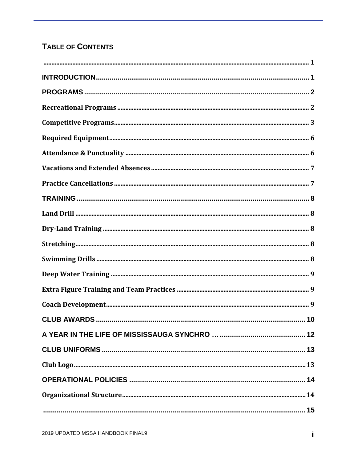# TABLE OF CONTENTS

| <b>CLUB AWARDS </b><br>.10 |  |
|----------------------------|--|
|                            |  |
|                            |  |
|                            |  |
|                            |  |
|                            |  |
|                            |  |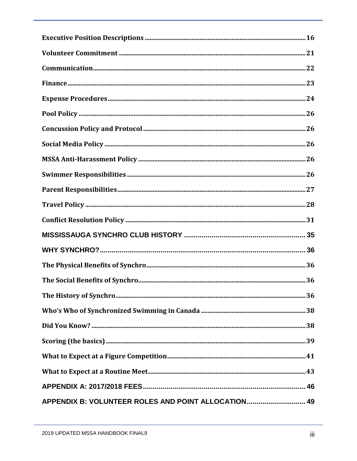| APPENDIX B: VOLUNTEER ROLES AND POINT ALLOCATION 49 |  |
|-----------------------------------------------------|--|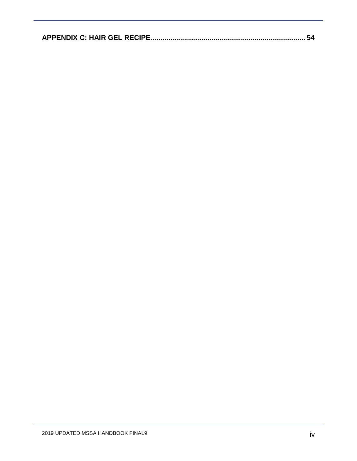|--|--|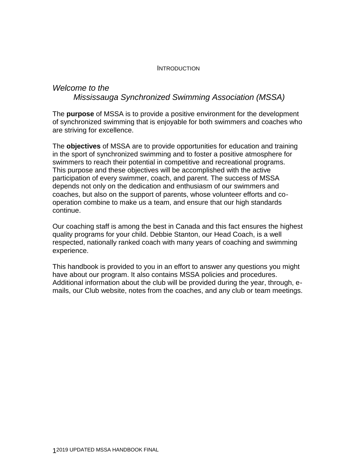#### INTRODUCTION

## *Welcome to the Mississauga Synchronized Swimming Association (MSSA)*

The **purpose** of MSSA is to provide a positive environment for the development of synchronized swimming that is enjoyable for both swimmers and coaches who are striving for excellence.

The **objectives** of MSSA are to provide opportunities for education and training in the sport of synchronized swimming and to foster a positive atmosphere for swimmers to reach their potential in competitive and recreational programs. This purpose and these objectives will be accomplished with the active participation of every swimmer, coach, and parent. The success of MSSA depends not only on the dedication and enthusiasm of our swimmers and coaches, but also on the support of parents, whose volunteer efforts and cooperation combine to make us a team, and ensure that our high standards continue.

Our coaching staff is among the best in Canada and this fact ensures the highest quality programs for your child. Debbie Stanton, our Head Coach, is a well respected, nationally ranked coach with many years of coaching and swimming experience.

This handbook is provided to you in an effort to answer any questions you might have about our program. It also contains MSSA policies and procedures. Additional information about the club will be provided during the year, through, emails, our Club website, notes from the coaches, and any club or team meetings.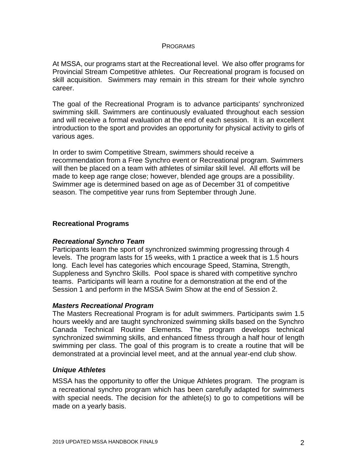#### PROGRAMS

At MSSA, our programs start at the Recreational level. We also offer programs for Provincial Stream Competitive athletes. Our Recreational program is focused on skill acquisition. Swimmers may remain in this stream for their whole synchro career.

The goal of the Recreational Program is to advance participants' synchronized swimming skill. Swimmers are continuously evaluated throughout each session and will receive a formal evaluation at the end of each session. It is an excellent introduction to the sport and provides an opportunity for physical activity to girls of various ages.

In order to swim Competitive Stream, swimmers should receive a recommendation from a Free Synchro event or Recreational program. Swimmers will then be placed on a team with athletes of similar skill level. All efforts will be made to keep age range close; however, blended age groups are a possibility. Swimmer age is determined based on age as of December 31 of competitive season. The competitive year runs from September through June.

#### **Recreational Programs**

### *Recreational Synchro Team*

Participants learn the sport of synchronized swimming progressing through 4 levels. The program lasts for 15 weeks, with 1 practice a week that is 1.5 hours long. Each level has categories which encourage Speed, Stamina, Strength, Suppleness and Synchro Skills. Pool space is shared with competitive synchro teams. Participants will learn a routine for a demonstration at the end of the Session 1 and perform in the MSSA Swim Show at the end of Session 2.

#### *Masters Recreational Program*

The Masters Recreational Program is for adult swimmers. Participants swim 1.5 hours weekly and are taught synchronized swimming skills based on the Synchro Canada Technical Routine Elements. The program develops technical synchronized swimming skills, and enhanced fitness through a half hour of length swimming per class. The goal of this program is to create a routine that will be demonstrated at a provincial level meet, and at the annual year-end club show.

### *Unique Athletes*

MSSA has the opportunity to offer the Unique Athletes program. The program is a recreational synchro program which has been carefully adapted for swimmers with special needs. The decision for the athlete(s) to go to competitions will be made on a yearly basis.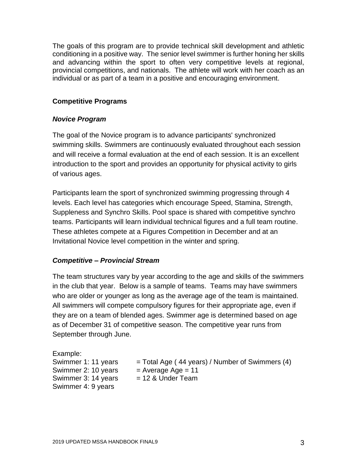The goals of this program are to provide technical skill development and athletic conditioning in a positive way. The senior level swimmer is further honing her skills and advancing within the sport to often very competitive levels at regional, provincial competitions, and nationals. The athlete will work with her coach as an individual or as part of a team in a positive and encouraging environment.

## **Competitive Programs**

### *Novice Program*

The goal of the Novice program is to advance participants' synchronized swimming skills. Swimmers are continuously evaluated throughout each session and will receive a formal evaluation at the end of each session. It is an excellent introduction to the sport and provides an opportunity for physical activity to girls of various ages.

Participants learn the sport of synchronized swimming progressing through 4 levels. Each level has categories which encourage Speed, Stamina, Strength, Suppleness and Synchro Skills. Pool space is shared with competitive synchro teams. Participants will learn individual technical figures and a full team routine. These athletes compete at a Figures Competition in December and at an Invitational Novice level competition in the winter and spring.

## *Competitive – Provincial Stream*

The team structures vary by year according to the age and skills of the swimmers in the club that year. Below is a sample of teams. Teams may have swimmers who are older or younger as long as the average age of the team is maintained. All swimmers will compete compulsory figures for their appropriate age, even if they are on a team of blended ages. Swimmer age is determined based on age as of December 31 of competitive season. The competitive year runs from September through June.

Example: Swimmer 2: 10 years  $=$  Average Age = 11 Swimmer 3: 14 years  $= 12$  & Under Team Swimmer 4: 9 years

Swimmer 1: 11 years  $=$  Total Age ( 44 years) / Number of Swimmers (4)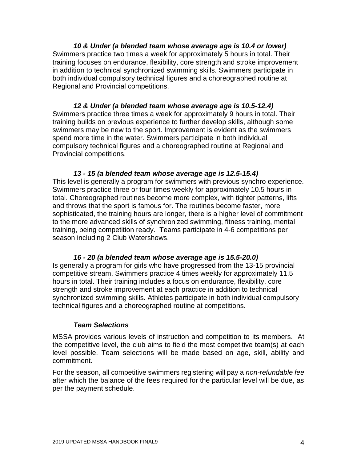*10 & Under (a blended team whose average age is 10.4 or lower)* Swimmers practice two times a week for approximately 5 hours in total. Their training focuses on endurance, flexibility, core strength and stroke improvement in addition to technical synchronized swimming skills. Swimmers participate in both individual compulsory technical figures and a choreographed routine at Regional and Provincial competitions.

*12 & Under (a blended team whose average age is 10.5-12.4)* Swimmers practice three times a week for approximately 9 hours in total. Their training builds on previous experience to further develop skills, although some swimmers may be new to the sport. Improvement is evident as the swimmers spend more time in the water. Swimmers participate in both individual compulsory technical figures and a choreographed routine at Regional and Provincial competitions.

#### *13 - 15 (a blended team whose average age is 12.5-15.4)*

This level is generally a program for swimmers with previous synchro experience. Swimmers practice three or four times weekly for approximately 10.5 hours in total. Choreographed routines become more complex, with tighter patterns, lifts and throws that the sport is famous for. The routines become faster, more sophisticated, the training hours are longer, there is a higher level of commitment to the more advanced skills of synchronized swimming, fitness training, mental training, being competition ready. Teams participate in 4-6 competitions per season including 2 Club Watershows.

### *16 - 20 (a blended team whose average age is 15.5-20.0)*

Is generally a program for girls who have progressed from the 13-15 provincial competitive stream. Swimmers practice 4 times weekly for approximately 11.5 hours in total. Their training includes a focus on endurance, flexibility, core strength and stroke improvement at each practice in addition to technical synchronized swimming skills. Athletes participate in both individual compulsory technical figures and a choreographed routine at competitions.

### *Team Selections*

MSSA provides various levels of instruction and competition to its members. At the competitive level, the club aims to field the most competitive team(s) at each level possible. Team selections will be made based on age, skill, ability and commitment.

For the season, all competitive swimmers registering will pay a *non-refundable fee* after which the balance of the fees required for the particular level will be due, as per the payment schedule.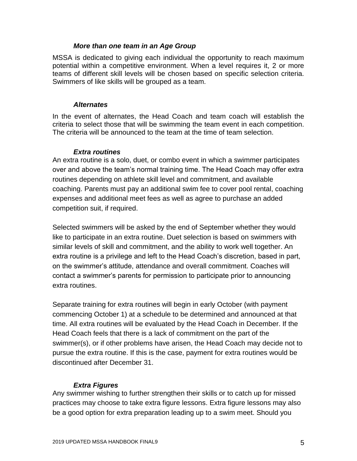#### *More than one team in an Age Group*

MSSA is dedicated to giving each individual the opportunity to reach maximum potential within a competitive environment. When a level requires it, 2 or more teams of different skill levels will be chosen based on specific selection criteria. Swimmers of like skills will be grouped as a team.

#### *Alternates*

In the event of alternates, the Head Coach and team coach will establish the criteria to select those that will be swimming the team event in each competition. The criteria will be announced to the team at the time of team selection.

### *Extra routines*

An extra routine is a solo, duet, or combo event in which a swimmer participates over and above the team's normal training time. The Head Coach may offer extra routines depending on athlete skill level and commitment, and available coaching. Parents must pay an additional swim fee to cover pool rental, coaching expenses and additional meet fees as well as agree to purchase an added competition suit, if required.

Selected swimmers will be asked by the end of September whether they would like to participate in an extra routine. Duet selection is based on swimmers with similar levels of skill and commitment, and the ability to work well together. An extra routine is a privilege and left to the Head Coach's discretion, based in part, on the swimmer's attitude, attendance and overall commitment. Coaches will contact a swimmer's parents for permission to participate prior to announcing extra routines.

Separate training for extra routines will begin in early October (with payment commencing October 1) at a schedule to be determined and announced at that time. All extra routines will be evaluated by the Head Coach in December. If the Head Coach feels that there is a lack of commitment on the part of the swimmer(s), or if other problems have arisen, the Head Coach may decide not to pursue the extra routine. If this is the case, payment for extra routines would be discontinued after December 31.

## *Extra Figures*

Any swimmer wishing to further strengthen their skills or to catch up for missed practices may choose to take extra figure lessons. Extra figure lessons may also be a good option for extra preparation leading up to a swim meet. Should you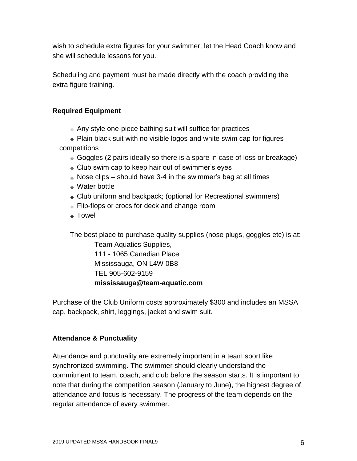wish to schedule extra figures for your swimmer, let the Head Coach know and she will schedule lessons for you.

Scheduling and payment must be made directly with the coach providing the extra figure training.

## **Required Equipment**

❖ Any style one-piece bathing suit will suffice for practices

❖ Plain black suit with no visible logos and white swim cap for figures competitions

- ❖ Goggles (2 pairs ideally so there is a spare in case of loss or breakage)
- ❖ Club swim cap to keep hair out of swimmer's eyes
- ❖ Nose clips should have 3-4 in the swimmer's bag at all times
- ❖ Water bottle
- ❖ Club uniform and backpack; (optional for Recreational swimmers)
- ❖ Flip-flops or crocs for deck and change room
- ❖ Towel

The best place to purchase quality supplies (nose plugs, goggles etc) is at:

Team Aquatics Supplies, 111 - 1065 Canadian Place Mississauga, ON L4W 0B8 TEL 905-602-9159 **[mississauga@team-aquatic.com](mailto:mississauga@team-aquatic.com)**

Purchase of the Club Uniform costs approximately \$300 and includes an MSSA cap, backpack, shirt, leggings, jacket and swim suit.

## **Attendance & Punctuality**

Attendance and punctuality are extremely important in a team sport like synchronized swimming. The swimmer should clearly understand the commitment to team, coach, and club before the season starts. It is important to note that during the competition season (January to June), the highest degree of attendance and focus is necessary. The progress of the team depends on the regular attendance of every swimmer.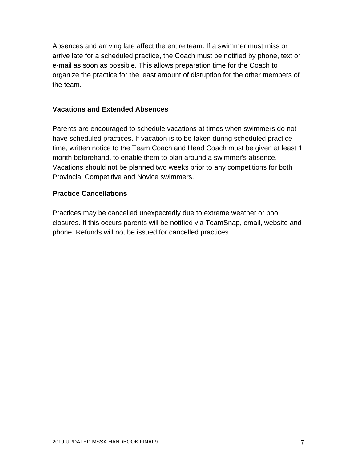Absences and arriving late affect the entire team. If a swimmer must miss or arrive late for a scheduled practice, the Coach must be notified by phone, text or e-mail as soon as possible. This allows preparation time for the Coach to organize the practice for the least amount of disruption for the other members of the team.

### **Vacations and Extended Absences**

Parents are encouraged to schedule vacations at times when swimmers do not have scheduled practices. If vacation is to be taken during scheduled practice time, written notice to the Team Coach and Head Coach must be given at least 1 month beforehand, to enable them to plan around a swimmer's absence. Vacations should not be planned two weeks prior to any competitions for both Provincial Competitive and Novice swimmers.

### **Practice Cancellations**

Practices may be cancelled unexpectedly due to extreme weather or pool closures. If this occurs parents will be notified via TeamSnap, email, website and phone. Refunds will not be issued for cancelled practices .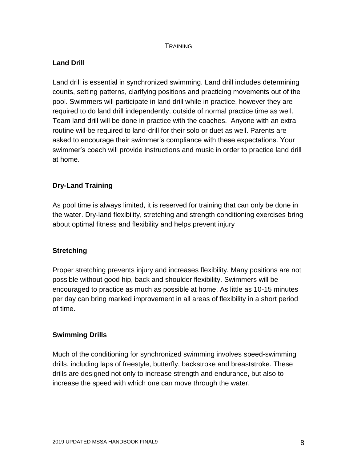### **TRAINING**

## **Land Drill**

Land drill is essential in synchronized swimming. Land drill includes determining counts, setting patterns, clarifying positions and practicing movements out of the pool. Swimmers will participate in land drill while in practice, however they are required to do land drill independently, outside of normal practice time as well. Team land drill will be done in practice with the coaches. Anyone with an extra routine will be required to land-drill for their solo or duet as well. Parents are asked to encourage their swimmer's compliance with these expectations. Your swimmer's coach will provide instructions and music in order to practice land drill at home.

## **Dry-Land Training**

As pool time is always limited, it is reserved for training that can only be done in the water. Dry-land flexibility, stretching and strength conditioning exercises bring about optimal fitness and flexibility and helps prevent injury

## **Stretching**

Proper stretching prevents injury and increases flexibility. Many positions are not possible without good hip, back and shoulder flexibility. Swimmers will be encouraged to practice as much as possible at home. As little as 10-15 minutes per day can bring marked improvement in all areas of flexibility in a short period of time.

## **Swimming Drills**

Much of the conditioning for synchronized swimming involves speed-swimming drills, including laps of freestyle, butterfly, backstroke and breaststroke. These drills are designed not only to increase strength and endurance, but also to increase the speed with which one can move through the water.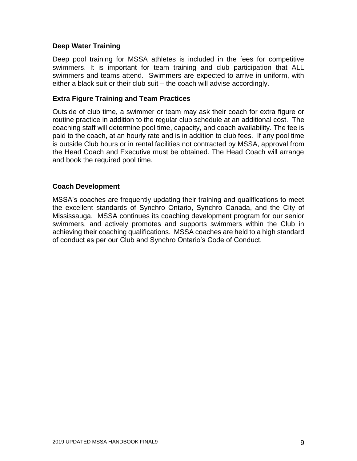#### **Deep Water Training**

Deep pool training for MSSA athletes is included in the fees for competitive swimmers. It is important for team training and club participation that ALL swimmers and teams attend. Swimmers are expected to arrive in uniform, with either a black suit or their club suit – the coach will advise accordingly.

#### **Extra Figure Training and Team Practices**

Outside of club time, a swimmer or team may ask their coach for extra figure or routine practice in addition to the regular club schedule at an additional cost. The coaching staff will determine pool time, capacity, and coach availability. The fee is paid to the coach, at an hourly rate and is in addition to club fees. If any pool time is outside Club hours or in rental facilities not contracted by MSSA, approval from the Head Coach and Executive must be obtained. The Head Coach will arrange and book the required pool time.

#### **Coach Development**

MSSA's coaches are frequently updating their training and qualifications to meet the excellent standards of Synchro Ontario, Synchro Canada, and the City of Mississauga. MSSA continues its coaching development program for our senior swimmers, and actively promotes and supports swimmers within the Club in achieving their coaching qualifications. MSSA coaches are held to a high standard of conduct as per our Club and Synchro Ontario's Code of Conduct.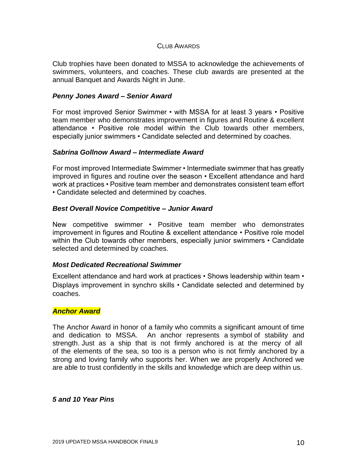#### CLUB AWARDS

Club trophies have been donated to MSSA to acknowledge the achievements of swimmers, volunteers, and coaches. These club awards are presented at the annual Banquet and Awards Night in June.

#### *Penny Jones Award – Senior Award*

For most improved Senior Swimmer • with MSSA for at least 3 years • Positive team member who demonstrates improvement in figures and Routine & excellent attendance • Positive role model within the Club towards other members, especially junior swimmers • Candidate selected and determined by coaches.

#### *Sabrina Gollnow Award – Intermediate Award*

For most improved Intermediate Swimmer • Intermediate swimmer that has greatly improved in figures and routine over the season • Excellent attendance and hard work at practices • Positive team member and demonstrates consistent team effort • Candidate selected and determined by coaches.

#### *Best Overall Novice Competitive – Junior Award*

New competitive swimmer • Positive team member who demonstrates improvement in figures and Routine & excellent attendance • Positive role model within the Club towards other members, especially junior swimmers • Candidate selected and determined by coaches.

#### *Most Dedicated Recreational Swimmer*

Excellent attendance and hard work at practices • Shows leadership within team • Displays improvement in synchro skills • Candidate selected and determined by coaches.

#### *Anchor Award*

The Anchor Award in honor of a family who commits a significant amount of time and dedication to MSSA. An anchor represents a symbol of stability and strength. Just as a ship that is not firmly anchored is at the mercy of all of the elements of the sea, so too is a person who is not firmly anchored by a strong and loving family who supports her. When we are properly Anchored we are able to trust confidently in the skills and knowledge which are deep within us.

#### *5 and 10 Year Pins*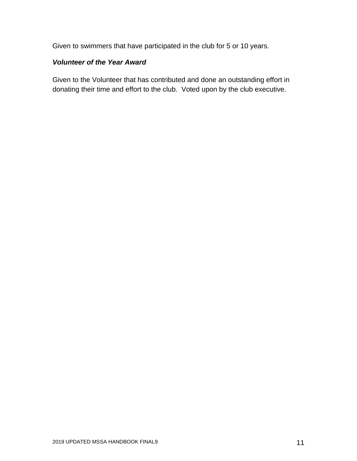Given to swimmers that have participated in the club for 5 or 10 years.

## *Volunteer of the Year Award*

Given to the Volunteer that has contributed and done an outstanding effort in donating their time and effort to the club. Voted upon by the club executive.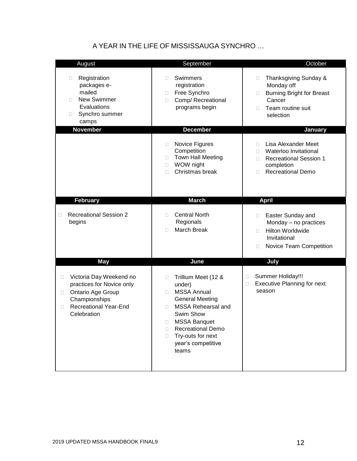## A YEAR IN THE LIFE OF MISSISSAUGA SYNCHRO …

| August                                                                                                                                                                  | September                                                                                                                                                                                                                                                  | October                                                                                                                                      |
|-------------------------------------------------------------------------------------------------------------------------------------------------------------------------|------------------------------------------------------------------------------------------------------------------------------------------------------------------------------------------------------------------------------------------------------------|----------------------------------------------------------------------------------------------------------------------------------------------|
| Registration<br>$\Box$<br>packages e-<br>mailed<br><b>New Swimmer</b><br>П<br>Evaluations<br>Synchro summer<br>$\Box$<br>camps                                          | Swimmers<br>П<br>registration<br>Free Synchro<br>$\Box$<br>Comp/ Recreational<br>$\Box$<br>programs begin                                                                                                                                                  | Thanksgiving Sunday &<br>$\Box$<br>Monday off<br><b>Burning Bright for Breast</b><br>$\Box$<br>Cancer<br>Team routine suit<br>П<br>selection |
| <b>November</b>                                                                                                                                                         | <b>December</b>                                                                                                                                                                                                                                            | January                                                                                                                                      |
|                                                                                                                                                                         | Novice Figures<br>$\Box$<br>Competition<br><b>Town Hall Meeting</b><br>$\Box$<br>WOW night<br>$\Box$<br>Christmas break<br>П                                                                                                                               | Lisa Alexander Meet<br>П.<br>Waterloo Invitational<br>П<br><b>Recreational Session 1</b><br>П<br>completion<br><b>Recreational Demo</b><br>П |
| <b>February</b>                                                                                                                                                         | <b>March</b>                                                                                                                                                                                                                                               | <b>April</b>                                                                                                                                 |
| <b>Recreational Session 2</b><br>□<br>begins                                                                                                                            | <b>Central North</b><br>п<br>Regionals<br><b>March Break</b><br>п                                                                                                                                                                                          | Easter Sunday and<br>$\Box$<br>Monday - no practices<br><b>Hilton Worldwide</b><br>П<br>Invitational<br>Novice Team Competition<br>$\Box$    |
| <b>May</b>                                                                                                                                                              | June                                                                                                                                                                                                                                                       | July                                                                                                                                         |
| Victoria Day Weekend no<br>$\Box$<br>practices for Novice only<br>Ontario Age Group<br>$\Box$<br>Championships<br><b>Recreational Year-End</b><br>$\Box$<br>Celebration | Trillium Meet (12 &<br>П<br>under)<br><b>MSSA Annual</b><br>п<br><b>General Meeting</b><br>MSSA Rehearsal and<br>$\Box$<br>Swim Show<br><b>MSSA Banquet</b><br>□<br><b>Recreational Demo</b><br>П<br>Try-outs for next<br>п<br>year's competitive<br>teams | Summer Holiday!!!<br>□<br><b>Executive Planning for next</b><br>□<br>season                                                                  |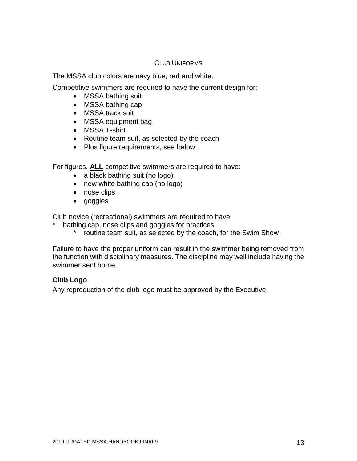#### CLUB UNIFORMS

The MSSA club colors are navy blue, red and white.

Competitive swimmers are required to have the current design for:

- MSSA bathing suit
- MSSA bathing cap
- MSSA track suit
- MSSA equipment bag
- MSSA T-shirt
- Routine team suit, as selected by the coach
- Plus figure requirements, see below

For figures, **ALL** competitive swimmers are required to have:

- a black bathing suit (no logo)
- new white bathing cap (no logo)
- nose clips
- goggles

Club novice (recreational) swimmers are required to have:

- bathing cap, nose clips and goggles for practices
	- \* routine team suit, as selected by the coach, for the Swim Show

Failure to have the proper uniform can result in the swimmer being removed from the function with disciplinary measures. The discipline may well include having the swimmer sent home.

### **Club Logo**

Any reproduction of the club logo must be approved by the Executive.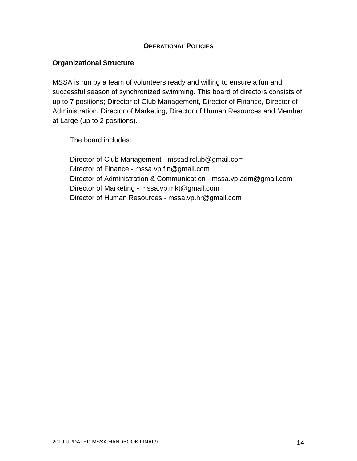#### **OPERATIONAL POLICIES**

### **Organizational Structure**

MSSA is run by a team of volunteers ready and willing to ensure a fun and successful season of synchronized swimming. This board of directors consists of up to 7 positions; Director of Club Management, Director of Finance, Director of Administration, Director of Marketing, Director of Human Resources and Member at Large (up to 2 positions).

The board includes:

Director of Club Management - [mssadirclub@gmail.com](mailto:mssadirclub@gmail.com) Director of Finance - [mssa.vp.fin@gmail.com](mailto:mssa.vp.fin@gmail.com) Director of Administration & Communication - [mssa.vp.adm@gmail.com](mailto:mssa.vp.adm@gmail.com) Director of Marketing - [mssa.vp.mkt@gmail.com](mailto:mssa.vp.mkt@gmail.com) Director of Human Resources - [mssa.vp.hr@gmail.com](mailto:mssa.vp.hr@gmail.com)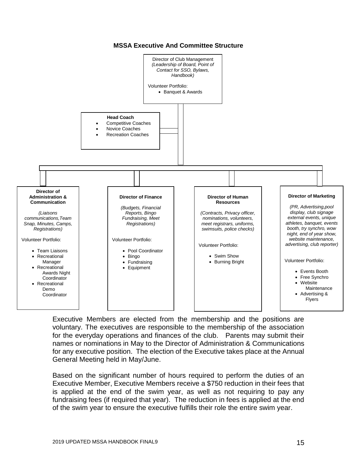Director of Club Management *(Leadership of Board, Point of Contact for SSO, Bylaws, Handbook)* Volunteer Portfolio: • Banquet & Awards **Head Coach** • Competitive Coaches **Novice Coaches** Recreation Coaches **Director of Administration & Communication** *(Liaisons communications,Team Snap, Minutes, Camps, Registrations)* Volunteer Portfolio: • Team Liaisons • Recreational Manager • Recreational Awards Night Coordinator • Recreational Demo Coordinator **Director of Finance** *(Budgets, Financial Reports, Bingo Fundraising, Meet Registrations)* Volunteer Portfolio: • Pool Coordinator • Bingo • Fundraising • Equipment **Director of Marketing** *(PR, Advertising,pool display, club signage external events, unique athletes, banquet, events booth, try synchro, wow night, end of year show, website maintenance, advertising, club reporter)* Volunteer Portfolio: • Events Booth • Free Synchro • Website Maintenance • Advertising & Flyers **Director of Human Resources** *(Contracts, Privacy officer, nominations, volunteers, meet registrars, uniforms, swimsuits, police checks)* Volunteer Portfolio: • Swim Show • Burning Bright

**MSSA Executive And Committee Structure**

Executive Members are elected from the membership and the positions are voluntary. The executives are responsible to the membership of the association for the everyday operations and finances of the club. Parents may submit their names or nominations in May to the Director of Administration & Communications for any executive position. The election of the Executive takes place at the Annual General Meeting held in May/June.

Based on the significant number of hours required to perform the duties of an Executive Member, Executive Members receive a \$750 reduction in their fees that is applied at the end of the swim year, as well as not requiring to pay any fundraising fees (if required that year). The reduction in fees is applied at the end of the swim year to ensure the executive fulfills their role the entire swim year.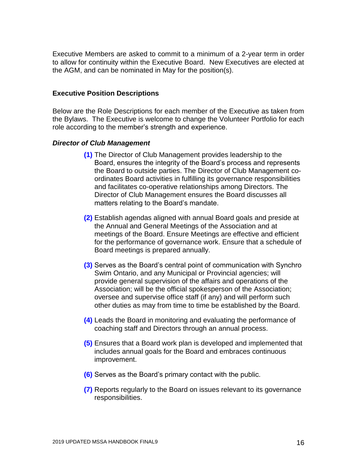Executive Members are asked to commit to a minimum of a 2-year term in order to allow for continuity within the Executive Board. New Executives are elected at the AGM, and can be nominated in May for the position(s).

#### **Executive Position Descriptions**

Below are the Role Descriptions for each member of the Executive as taken from the Bylaws. The Executive is welcome to change the Volunteer Portfolio for each role according to the member's strength and experience.

#### *Director of Club Management*

- **(1)** The Director of Club Management provides leadership to the Board, ensures the integrity of the Board's process and represents the Board to outside parties. The Director of Club Management coordinates Board activities in fulfilling its governance responsibilities and facilitates co-operative relationships among Directors. The Director of Club Management ensures the Board discusses all matters relating to the Board's mandate.
- **(2)** Establish agendas aligned with annual Board goals and preside at the Annual and General Meetings of the Association and at meetings of the Board. Ensure Meetings are effective and efficient for the performance of governance work. Ensure that a schedule of Board meetings is prepared annually.
- **(3)** Serves as the Board's central point of communication with Synchro Swim Ontario, and any Municipal or Provincial agencies; will provide general supervision of the affairs and operations of the Association; will be the official spokesperson of the Association; oversee and supervise office staff (if any) and will perform such other duties as may from time to time be established by the Board.
- **(4)** Leads the Board in monitoring and evaluating the performance of coaching staff and Directors through an annual process.
- **(5)** Ensures that a Board work plan is developed and implemented that includes annual goals for the Board and embraces continuous improvement.
- **(6)** Serves as the Board's primary contact with the public.
- **(7)** Reports regularly to the Board on issues relevant to its governance responsibilities.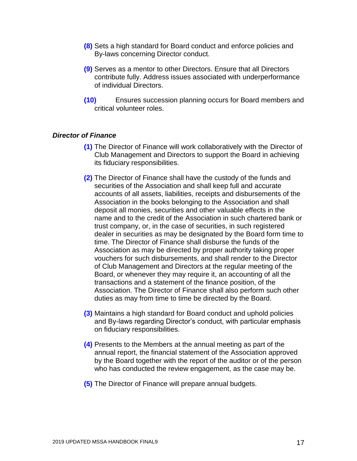- **(8)** Sets a high standard for Board conduct and enforce policies and By-laws concerning Director conduct.
- **(9)** Serves as a mentor to other Directors. Ensure that all Directors contribute fully. Address issues associated with underperformance of individual Directors.
- **(10)** Ensures succession planning occurs for Board members and critical volunteer roles.

#### *Director of Finance*

- **(1)** The Director of Finance will work collaboratively with the Director of Club Management and Directors to support the Board in achieving its fiduciary responsibilities.
- **(2)** The Director of Finance shall have the custody of the funds and securities of the Association and shall keep full and accurate accounts of all assets, liabilities, receipts and disbursements of the Association in the books belonging to the Association and shall deposit all monies, securities and other valuable effects in the name and to the credit of the Association in such chartered bank or trust company, or, in the case of securities, in such registered dealer in securities as may be designated by the Board form time to time. The Director of Finance shall disburse the funds of the Association as may be directed by proper authority taking proper vouchers for such disbursements, and shall render to the Director of Club Management and Directors at the regular meeting of the Board, or whenever they may require it, an accounting of all the transactions and a statement of the finance position, of the Association. The Director of Finance shall also perform such other duties as may from time to time be directed by the Board.
- **(3)** Maintains a high standard for Board conduct and uphold policies and By-laws regarding Director's conduct, with particular emphasis on fiduciary responsibilities.
- **(4)** Presents to the Members at the annual meeting as part of the annual report, the financial statement of the Association approved by the Board together with the report of the auditor or of the person who has conducted the review engagement, as the case may be.
- **(5)** The Director of Finance will prepare annual budgets.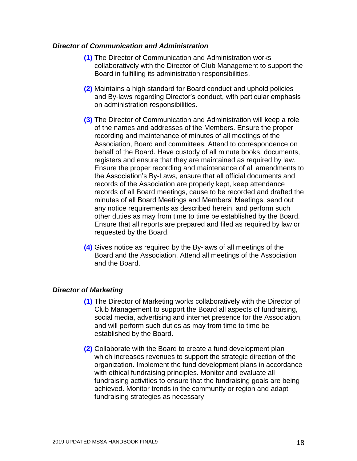#### *Director of Communication and Administration*

- **(1)** The Director of Communication and Administration works collaboratively with the Director of Club Management to support the Board in fulfilling its administration responsibilities.
- **(2)** Maintains a high standard for Board conduct and uphold policies and By-laws regarding Director's conduct, with particular emphasis on administration responsibilities.
- **(3)** The Director of Communication and Administration will keep a role of the names and addresses of the Members. Ensure the proper recording and maintenance of minutes of all meetings of the Association, Board and committees. Attend to correspondence on behalf of the Board. Have custody of all minute books, documents, registers and ensure that they are maintained as required by law. Ensure the proper recording and maintenance of all amendments to the Association's By-Laws, ensure that all official documents and records of the Association are properly kept, keep attendance records of all Board meetings, cause to be recorded and drafted the minutes of all Board Meetings and Members' Meetings, send out any notice requirements as described herein, and perform such other duties as may from time to time be established by the Board. Ensure that all reports are prepared and filed as required by law or requested by the Board.
- **(4)** Gives notice as required by the By-laws of all meetings of the Board and the Association. Attend all meetings of the Association and the Board.

#### *Director of Marketing*

- **(1)** The Director of Marketing works collaboratively with the Director of Club Management to support the Board all aspects of fundraising, social media, advertising and internet presence for the Association, and will perform such duties as may from time to time be established by the Board.
- **(2)** Collaborate with the Board to create a fund development plan which increases revenues to support the strategic direction of the organization. Implement the fund development plans in accordance with ethical fundraising principles. Monitor and evaluate all fundraising activities to ensure that the fundraising goals are being achieved. Monitor trends in the community or region and adapt fundraising strategies as necessary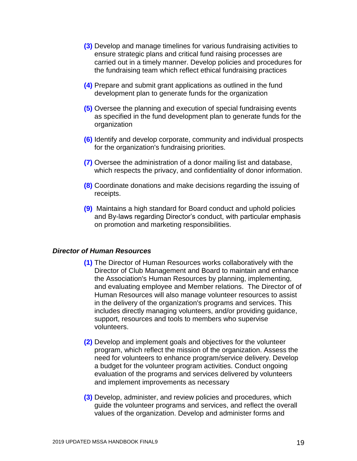- **(3)** Develop and manage timelines for various fundraising activities to ensure strategic plans and critical fund raising processes are carried out in a timely manner. Develop policies and procedures for the fundraising team which reflect ethical fundraising practices
- **(4)** Prepare and submit grant applications as outlined in the fund development plan to generate funds for the organization
- **(5)** Oversee the planning and execution of special fundraising events as specified in the fund development plan to generate funds for the organization
- **(6)** Identify and develop corporate, community and individual prospects for the organization's fundraising priorities.
- **(7)** Oversee the administration of a donor mailing list and database, which respects the privacy, and confidentiality of donor information.
- **(8)** Coordinate donations and make decisions regarding the issuing of receipts.
- **(9)** Maintains a high standard for Board conduct and uphold policies and By-laws regarding Director's conduct, with particular emphasis on promotion and marketing responsibilities.

#### *Director of Human Resources*

- **(1)** The Director of Human Resources works collaboratively with the Director of Club Management and Board to maintain and enhance the Association's Human Resources by planning, implementing, and evaluating employee and Member relations. The Director of of Human Resources will also manage volunteer resources to assist in the delivery of the organization's programs and services. This includes directly managing volunteers, and/or providing guidance, support, resources and tools to members who supervise volunteers.
- **(2)** Develop and implement goals and objectives for the volunteer program, which reflect the mission of the organization. Assess the need for volunteers to enhance program/service delivery. Develop a budget for the volunteer program activities. Conduct ongoing evaluation of the programs and services delivered by volunteers and implement improvements as necessary
- **(3)** Develop, administer, and review policies and procedures, which guide the volunteer programs and services, and reflect the overall values of the organization. Develop and administer forms and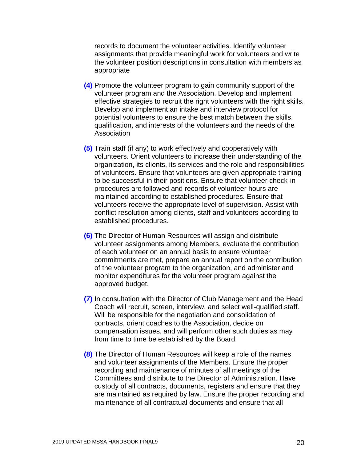records to document the volunteer activities. Identify volunteer assignments that provide meaningful work for volunteers and write the volunteer position descriptions in consultation with members as appropriate

- **(4)** Promote the volunteer program to gain community support of the volunteer program and the Association. Develop and implement effective strategies to recruit the right volunteers with the right skills. Develop and implement an intake and interview protocol for potential volunteers to ensure the best match between the skills, qualification, and interests of the volunteers and the needs of the Association
- **(5)** Train staff (if any) to work effectively and cooperatively with volunteers. Orient volunteers to increase their understanding of the organization, its clients, its services and the role and responsibilities of volunteers. Ensure that volunteers are given appropriate training to be successful in their positions. Ensure that volunteer check-in procedures are followed and records of volunteer hours are maintained according to established procedures. Ensure that volunteers receive the appropriate level of supervision. Assist with conflict resolution among clients, staff and volunteers according to established procedures.
- **(6)** The Director of Human Resources will assign and distribute volunteer assignments among Members, evaluate the contribution of each volunteer on an annual basis to ensure volunteer commitments are met, prepare an annual report on the contribution of the volunteer program to the organization, and administer and monitor expenditures for the volunteer program against the approved budget.
- **(7)** In consultation with the Director of Club Management and the Head Coach will recruit, screen, interview, and select well-qualified staff. Will be responsible for the negotiation and consolidation of contracts, orient coaches to the Association, decide on compensation issues, and will perform other such duties as may from time to time be established by the Board.
- **(8)** The Director of Human Resources will keep a role of the names and volunteer assignments of the Members. Ensure the proper recording and maintenance of minutes of all meetings of the Committees and distribute to the Director of Administration. Have custody of all contracts, documents, registers and ensure that they are maintained as required by law. Ensure the proper recording and maintenance of all contractual documents and ensure that all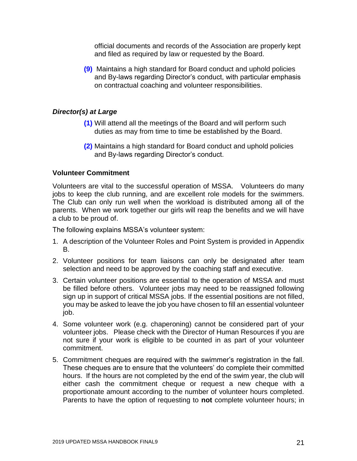official documents and records of the Association are properly kept and filed as required by law or requested by the Board.

**(9)** Maintains a high standard for Board conduct and uphold policies and By-laws regarding Director's conduct, with particular emphasis on contractual coaching and volunteer responsibilities.

### *Director(s) at Large*

- **(1)** Will attend all the meetings of the Board and will perform such duties as may from time to time be established by the Board.
- **(2)** Maintains a high standard for Board conduct and uphold policies and By-laws regarding Director's conduct.

### **Volunteer Commitment**

Volunteers are vital to the successful operation of MSSA. Volunteers do many jobs to keep the club running, and are excellent role models for the swimmers. The Club can only run well when the workload is distributed among all of the parents. When we work together our girls will reap the benefits and we will have a club to be proud of.

The following explains MSSA's volunteer system:

- 1. A description of the Volunteer Roles and Point System is provided in Appendix B.
- 2. Volunteer positions for team liaisons can only be designated after team selection and need to be approved by the coaching staff and executive.
- 3. Certain volunteer positions are essential to the operation of MSSA and must be filled before others. Volunteer jobs may need to be reassigned following sign up in support of critical MSSA jobs. If the essential positions are not filled, you may be asked to leave the job you have chosen to fill an essential volunteer job.
- 4. Some volunteer work (e.g. chaperoning) cannot be considered part of your volunteer jobs. Please check with the Director of Human Resources if you are not sure if your work is eligible to be counted in as part of your volunteer commitment.
- 5. Commitment cheques are required with the swimmer's registration in the fall. These cheques are to ensure that the volunteers' do complete their committed hours. If the hours are not completed by the end of the swim year, the club will either cash the commitment cheque or request a new cheque with a proportionate amount according to the number of volunteer hours completed. Parents to have the option of requesting to **not** complete volunteer hours; in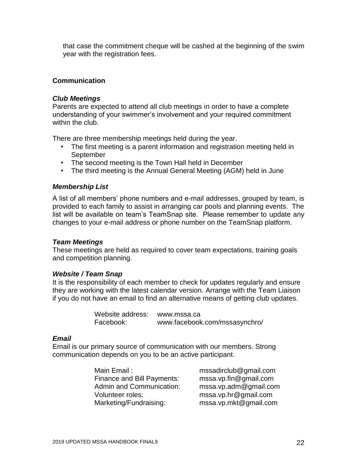that case the commitment cheque will be cashed at the beginning of the swim year with the registration fees.

### **Communication**

#### *Club Meetings*

Parents are expected to attend all club meetings in order to have a complete understanding of your swimmer's involvement and your required commitment within the club.

There are three membership meetings held during the year.

- The first meeting is a parent information and registration meeting held in September
- The second meeting is the Town Hall held in December
- The third meeting is the Annual General Meeting (AGM) held in June

#### *Membership List*

A list of all members' phone numbers and e-mail addresses, grouped by team, is provided to each family to assist in arranging car pools and planning events. The list will be available on team's TeamSnap site. Please remember to update any changes to your e-mail address or phone number on the TeamSnap platform.

#### *Team Meetings*

These meetings are held as required to cover team expectations, training goals and competition planning.

#### *Website / Team Snap*

It is the responsibility of each member to check for updates regularly and ensure they are working with the latest calendar version. Arrange with the Team Liaison if you do not have an email to find an alternative means of getting club updates.

> Website address: [www.mssa.ca](http://masa.com/) Facebook: [www.facebook.com/mssasynchro/](http://www.facebook.com/mssasynchro/)

#### *Email*

Email is our primary source of communication with our members. Strong communication depends on you to be an active participant.

| Main Email:                       | mssadirclub@gmail.com |
|-----------------------------------|-----------------------|
| <b>Finance and Bill Payments:</b> | mssa.vp.fin@gmail.com |
| <b>Admin and Communication:</b>   | mssa.vp.adm@gmail.com |
| Volunteer roles:                  | mssa.vp.hr@gmail.com  |
| Marketing/Fundraising:            | mssa.vp.mkt@gmail.com |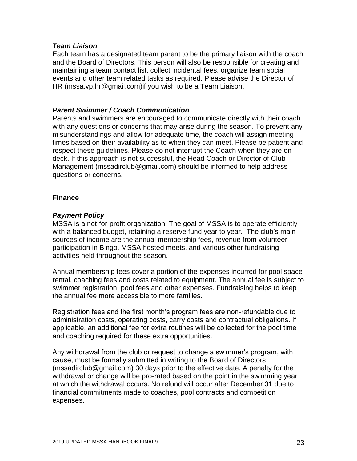#### *Team Liaison*

Each team has a designated team parent to be the primary liaison with the coach and the Board of Directors. This person will also be responsible for creating and maintaining a team contact list, collect incidental fees, organize team social events and other team related tasks as required. Please advise the Director of HR [\(mssa.vp.hr@gmail.com\)](mailto:mssa.vp.hr@gmail.com)if you wish to be a Team Liaison.

### *Parent Swimmer / Coach Communication*

Parents and swimmers are encouraged to communicate directly with their coach with any questions or concerns that may arise during the season. To prevent any misunderstandings and allow for adequate time, the coach will assign meeting times based on their availability as to when they can meet. Please be patient and respect these guidelines. Please do not interrupt the Coach when they are on deck. If this approach is not successful, the Head Coach or Director of Club Management [\(mssadirclub@gmail.com\)](mailto:mssadirclub@gmail.com) should be informed to help address questions or concerns.

#### **Finance**

#### *Payment Policy*

MSSA is a not-for-profit organization. The goal of MSSA is to operate efficiently with a balanced budget, retaining a reserve fund year to year. The club's main sources of income are the annual membership fees, revenue from volunteer participation in Bingo, MSSA hosted meets, and various other fundraising activities held throughout the season.

Annual membership fees cover a portion of the expenses incurred for pool space rental, coaching fees and costs related to equipment. The annual fee is subject to swimmer registration, pool fees and other expenses. Fundraising helps to keep the annual fee more accessible to more families.

Registration fees and the first month's program fees are non-refundable due to administration costs, operating costs, carry costs and contractual obligations. If applicable, an additional fee for extra routines will be collected for the pool time and coaching required for these extra opportunities.

Any withdrawal from the club or request to change a swimmer's program, with cause, must be formally submitted in writing to the Board of Directors [\(mssadirclub@gmail.com\)](mailto:mssadirclub@gmail.com) 30 days prior to the effective date. A penalty for the withdrawal or change will be pro-rated based on the point in the swimming year at which the withdrawal occurs. No refund will occur after December 31 due to financial commitments made to coaches, pool contracts and competition expenses.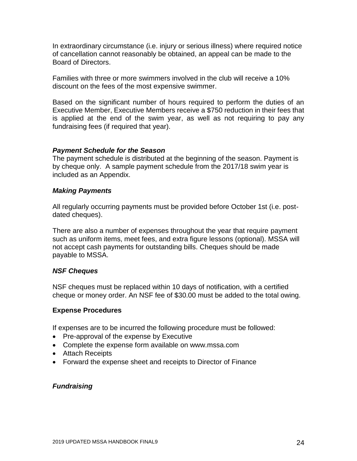In extraordinary circumstance (i.e. injury or serious illness) where required notice of cancellation cannot reasonably be obtained, an appeal can be made to the Board of Directors.

Families with three or more swimmers involved in the club will receive a 10% discount on the fees of the most expensive swimmer.

Based on the significant number of hours required to perform the duties of an Executive Member, Executive Members receive a \$750 reduction in their fees that is applied at the end of the swim year, as well as not requiring to pay any fundraising fees (if required that year).

### *Payment Schedule for the Season*

The payment schedule is distributed at the beginning of the season. Payment is by cheque only. A sample payment schedule from the 2017/18 swim year is included as an Appendix.

#### *Making Payments*

All regularly occurring payments must be provided before October 1st (i.e. postdated cheques).

There are also a number of expenses throughout the year that require payment such as uniform items, meet fees, and extra figure lessons (optional). MSSA will not accept cash payments for outstanding bills. Cheques should be made payable to MSSA.

#### *NSF Cheques*

NSF cheques must be replaced within 10 days of notification, with a certified cheque or money order. An NSF fee of \$30.00 must be added to the total owing.

#### **Expense Procedures**

If expenses are to be incurred the following procedure must be followed:

- Pre-approval of the expense by Executive
- Complete the expense form available on www.mssa.com
- Attach Receipts
- Forward the expense sheet and receipts to Director of Finance

### *Fundraising*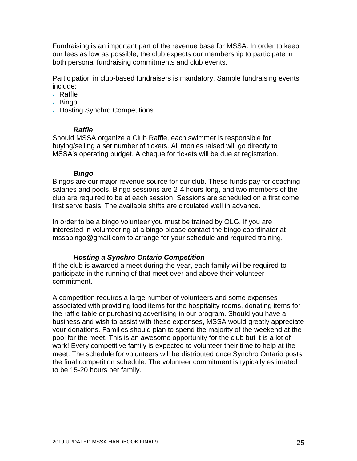Fundraising is an important part of the revenue base for MSSA. In order to keep our fees as low as possible, the club expects our membership to participate in both personal fundraising commitments and club events.

Participation in club-based fundraisers is mandatory. Sample fundraising events include:

- Raffle
- Bingo
- Hosting Synchro Competitions

### *Raffle*

Should MSSA organize a Club Raffle, each swimmer is responsible for buying/selling a set number of tickets. All monies raised will go directly to MSSA's operating budget. A cheque for tickets will be due at registration.

### *Bingo*

Bingos are our major revenue source for our club. These funds pay for coaching salaries and pools. Bingo sessions are 2-4 hours long, and two members of the club are required to be at each session. Sessions are scheduled on a first come first serve basis. The available shifts are circulated well in advance.

In order to be a bingo volunteer you must be trained by OLG. If you are interested in volunteering at a bingo please contact the bingo coordinator at [mssabingo@gmail.com](mailto:mssabingo@gmail.com) to arrange for your schedule and required training.

### *Hosting a Synchro Ontario Competition*

If the club is awarded a meet during the year, each family will be required to participate in the running of that meet over and above their volunteer commitment.

A competition requires a large number of volunteers and some expenses associated with providing food items for the hospitality rooms, donating items for the raffle table or purchasing advertising in our program. Should you have a business and wish to assist with these expenses, MSSA would greatly appreciate your donations. Families should plan to spend the majority of the weekend at the pool for the meet. This is an awesome opportunity for the club but it is a lot of work! Every competitive family is expected to volunteer their time to help at the meet. The schedule for volunteers will be distributed once Synchro Ontario posts the final competition schedule. The volunteer commitment is typically estimated to be 15-20 hours per family.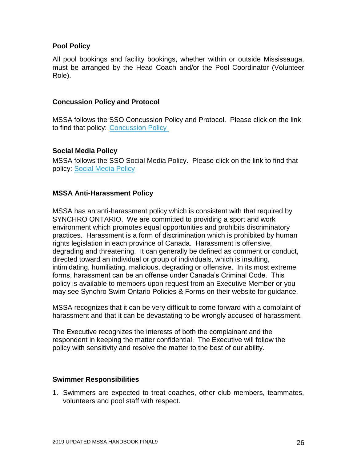### **Pool Policy**

All pool bookings and facility bookings, whether within or outside Mississauga, must be arranged by the Head Coach and/or the Pool Coordinator (Volunteer Role).

### **Concussion Policy and Protocol**

MSSA follows the SSO Concussion Policy and Protocol. Please click on the link to find that policy: [Concussion Policy](http://synchroontario.com/wp-content/uploads/2011/02/Concussion-Policy-12October2016.pdf)

### **Social Media Policy**

MSSA follows the SSO Social Media Policy. Please click on the link to find that policy: [Social Media Policy](http://synchroontario.com/wp-content/uploads/2011/02/SSO-Social-Media-Policy-4April2018.pdf)

### **MSSA Anti-Harassment Policy**

MSSA has an anti-harassment policy which is consistent with that required by SYNCHRO ONTARIO. We are committed to providing a sport and work environment which promotes equal opportunities and prohibits discriminatory practices. Harassment is a form of discrimination which is prohibited by human rights legislation in each province of Canada. Harassment is offensive, degrading and threatening. It can generally be defined as comment or conduct, directed toward an individual or group of individuals, which is insulting, intimidating, humiliating, malicious, degrading or offensive. In its most extreme forms, harassment can be an offense under Canada's Criminal Code. This policy is available to members upon request from an Executive Member or you may see Synchro Swim Ontario Policies & Forms on their website for guidance.

MSSA recognizes that it can be very difficult to come forward with a complaint of harassment and that it can be devastating to be wrongly accused of harassment.

The Executive recognizes the interests of both the complainant and the respondent in keeping the matter confidential. The Executive will follow the policy with sensitivity and resolve the matter to the best of our ability.

### **Swimmer Responsibilities**

1. Swimmers are expected to treat coaches, other club members, teammates, volunteers and pool staff with respect.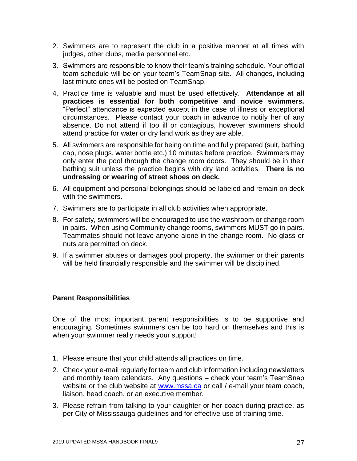- 2. Swimmers are to represent the club in a positive manner at all times with judges, other clubs, media personnel etc.
- 3. Swimmers are responsible to know their team's training schedule. Your official team schedule will be on your team's TeamSnap site. All changes, including last minute ones will be posted on TeamSnap.
- 4. Practice time is valuable and must be used effectively. **Attendance at all practices is essential for both competitive and novice swimmers.** "Perfect" attendance is expected except in the case of illness or exceptional circumstances. Please contact your coach in advance to notify her of any absence. Do not attend if too ill or contagious, however swimmers should attend practice for water or dry land work as they are able.
- 5. All swimmers are responsible for being on time and fully prepared (suit, bathing cap, nose plugs, water bottle etc.) 10 minutes before practice. Swimmers may only enter the pool through the change room doors. They should be in their bathing suit unless the practice begins with dry land activities. **There is no undressing or wearing of street shoes on deck.**
- 6. All equipment and personal belongings should be labeled and remain on deck with the swimmers.
- 7. Swimmers are to participate in all club activities when appropriate.
- 8. For safety, swimmers will be encouraged to use the washroom or change room in pairs. When using Community change rooms, swimmers MUST go in pairs. Teammates should not leave anyone alone in the change room. No glass or nuts are permitted on deck.
- 9. If a swimmer abuses or damages pool property, the swimmer or their parents will be held financially responsible and the swimmer will be disciplined.

### **Parent Responsibilities**

One of the most important parent responsibilities is to be supportive and encouraging. Sometimes swimmers can be too hard on themselves and this is when your swimmer really needs your support!

- 1. Please ensure that your child attends all practices on time.
- 2. Check your e-mail regularly for team and club information including newsletters and monthly team calendars. Any questions – check your team's TeamSnap website or the club website at [www.mssa.ca](http://www.mssa.ca/) or call / e-mail your team coach, liaison, head coach, or an executive member.
- 3. Please refrain from talking to your daughter or her coach during practice, as per City of Mississauga guidelines and for effective use of training time.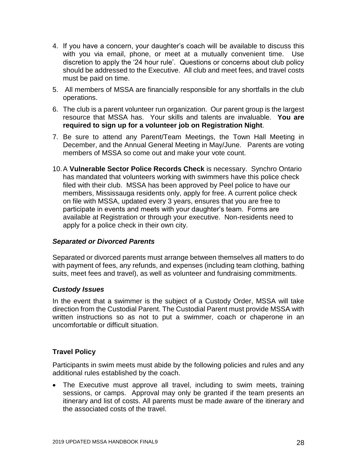- 4. If you have a concern, your daughter's coach will be available to discuss this with you via email, phone, or meet at a mutually convenient time. Use discretion to apply the '24 hour rule'. Questions or concerns about club policy should be addressed to the Executive. All club and meet fees, and travel costs must be paid on time.
- 5. All members of MSSA are financially responsible for any shortfalls in the club operations.
- 6. The club is a parent volunteer run organization. Our parent group is the largest resource that MSSA has. Your skills and talents are invaluable. **You are required to sign up for a volunteer job on Registration Night**.
- 7. Be sure to attend any Parent/Team Meetings, the Town Hall Meeting in December, and the Annual General Meeting in May/June. Parents are voting members of MSSA so come out and make your vote count.
- 10.A **Vulnerable Sector Police Records Check** is necessary. Synchro Ontario has mandated that volunteers working with swimmers have this police check filed with their club. MSSA has been approved by Peel police to have our members, Mississauga residents only, apply for free. A current police check on file with MSSA, updated every 3 years, ensures that you are free to participate in events and meets with your daughter's team. Forms are available at Registration or through your executive. Non-residents need to apply for a police check in their own city.

### *Separated or Divorced Parents*

Separated or divorced parents must arrange between themselves all matters to do with payment of fees, any refunds, and expenses (including team clothing, bathing suits, meet fees and travel), as well as volunteer and fundraising commitments.

### *Custody Issues*

In the event that a swimmer is the subject of a Custody Order, MSSA will take direction from the Custodial Parent. The Custodial Parent must provide MSSA with written instructions so as not to put a swimmer, coach or chaperone in an uncomfortable or difficult situation.

### **Travel Policy**

Participants in swim meets must abide by the following policies and rules and any additional rules established by the coach.

• The Executive must approve all travel, including to swim meets, training sessions, or camps. Approval may only be granted if the team presents an itinerary and list of costs. All parents must be made aware of the itinerary and the associated costs of the travel.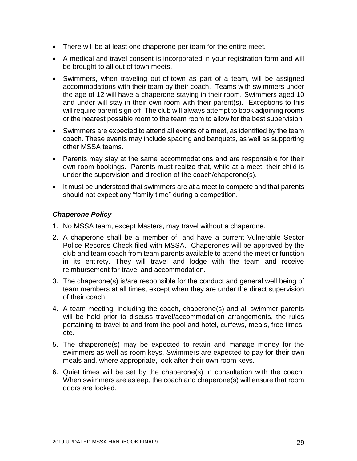- There will be at least one chaperone per team for the entire meet.
- A medical and travel consent is incorporated in your registration form and will be brought to all out of town meets.
- Swimmers, when traveling out-of-town as part of a team, will be assigned accommodations with their team by their coach. Teams with swimmers under the age of 12 will have a chaperone staying in their room. Swimmers aged 10 and under will stay in their own room with their parent(s). Exceptions to this will require parent sign off. The club will always attempt to book adjoining rooms or the nearest possible room to the team room to allow for the best supervision.
- Swimmers are expected to attend all events of a meet, as identified by the team coach. These events may include spacing and banquets, as well as supporting other MSSA teams.
- Parents may stay at the same accommodations and are responsible for their own room bookings. Parents must realize that, while at a meet, their child is under the supervision and direction of the coach/chaperone(s).
- It must be understood that swimmers are at a meet to compete and that parents should not expect any "family time" during a competition.

### *Chaperone Policy*

- 1. No MSSA team, except Masters, may travel without a chaperone.
- 2. A chaperone shall be a member of, and have a current Vulnerable Sector Police Records Check filed with MSSA. Chaperones will be approved by the club and team coach from team parents available to attend the meet or function in its entirety. They will travel and lodge with the team and receive reimbursement for travel and accommodation.
- 3. The chaperone(s) is/are responsible for the conduct and general well being of team members at all times, except when they are under the direct supervision of their coach.
- 4. A team meeting, including the coach, chaperone(s) and all swimmer parents will be held prior to discuss travel/accommodation arrangements, the rules pertaining to travel to and from the pool and hotel, curfews, meals, free times, etc.
- 5. The chaperone(s) may be expected to retain and manage money for the swimmers as well as room keys. Swimmers are expected to pay for their own meals and, where appropriate, look after their own room keys.
- 6. Quiet times will be set by the chaperone(s) in consultation with the coach. When swimmers are asleep, the coach and chaperone(s) will ensure that room doors are locked.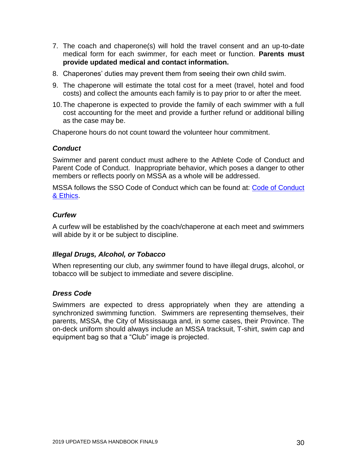- 7. The coach and chaperone(s) will hold the travel consent and an up-to-date medical form for each swimmer, for each meet or function. **Parents must provide updated medical and contact information.**
- 8. Chaperones' duties may prevent them from seeing their own child swim.
- 9. The chaperone will estimate the total cost for a meet (travel, hotel and food costs) and collect the amounts each family is to pay prior to or after the meet.
- 10.The chaperone is expected to provide the family of each swimmer with a full cost accounting for the meet and provide a further refund or additional billing as the case may be.

Chaperone hours do not count toward the volunteer hour commitment.

### *Conduct*

Swimmer and parent conduct must adhere to the Athlete Code of Conduct and Parent Code of Conduct. Inappropriate behavior, which poses a danger to other members or reflects poorly on MSSA as a whole will be addressed.

MSSA follows the SSO Code of Conduct which can be found at: [Code of Conduct](http://synchroontario.com/wp-content/uploads/2011/02/SSO-Code-of-Conduct-Ethics-5July2017.pdf)  [& Ethics.](http://synchroontario.com/wp-content/uploads/2011/02/SSO-Code-of-Conduct-Ethics-5July2017.pdf)

### *Curfew*

A curfew will be established by the coach/chaperone at each meet and swimmers will abide by it or be subject to discipline.

### *Illegal Drugs, Alcohol, or Tobacco*

When representing our club, any swimmer found to have illegal drugs, alcohol, or tobacco will be subject to immediate and severe discipline.

### *Dress Code*

Swimmers are expected to dress appropriately when they are attending a synchronized swimming function. Swimmers are representing themselves, their parents, MSSA, the City of Mississauga and, in some cases, their Province. The on-deck uniform should always include an MSSA tracksuit, T-shirt, swim cap and equipment bag so that a "Club" image is projected.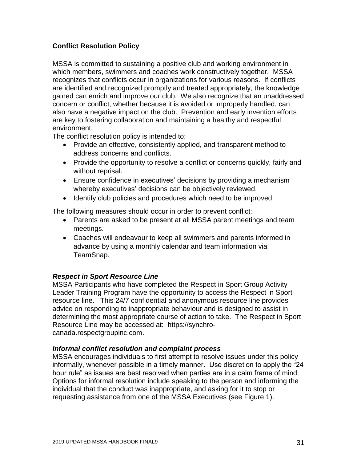## **Conflict Resolution Policy**

MSSA is committed to sustaining a positive club and working environment in which members, swimmers and coaches work constructively together. MSSA recognizes that conflicts occur in organizations for various reasons. If conflicts are identified and recognized promptly and treated appropriately, the knowledge gained can enrich and improve our club. We also recognize that an unaddressed concern or conflict, whether because it is avoided or improperly handled, can also have a negative impact on the club. Prevention and early invention efforts are key to fostering collaboration and maintaining a healthy and respectful environment.

The conflict resolution policy is intended to:

- Provide an effective, consistently applied, and transparent method to address concerns and conflicts.
- Provide the opportunity to resolve a conflict or concerns quickly, fairly and without reprisal.
- Ensure confidence in executives' decisions by providing a mechanism whereby executives' decisions can be objectively reviewed.
- Identify club policies and procedures which need to be improved.

The following measures should occur in order to prevent conflict:

- Parents are asked to be present at all MSSA parent meetings and team meetings.
- Coaches will endeavour to keep all swimmers and parents informed in advance by using a monthly calendar and team information via TeamSnap.

### *Respect in Sport Resource Line*

MSSA Participants who have completed the Respect in Sport Group Activity Leader Training Program have the opportunity to access the Respect in Sport resource line. This 24/7 confidential and anonymous resource line provides advice on responding to inappropriate behaviour and is designed to assist in determining the most appropriate course of action to take. The Respect in Sport Resource Line may be accessed at: [https://synchro](https://synchro-canada.respectgroupinc.com/)[canada.respectgroupinc.com.](https://synchro-canada.respectgroupinc.com/)

### *Informal conflict resolution and complaint process*

MSSA encourages individuals to first attempt to resolve issues under this policy informally, whenever possible in a timely manner. Use discretion to apply the "24 hour rule" as issues are best resolved when parties are in a calm frame of mind. Options for informal resolution include speaking to the person and informing the individual that the conduct was inappropriate, and asking for it to stop or requesting assistance from one of the MSSA Executives (see Figure 1).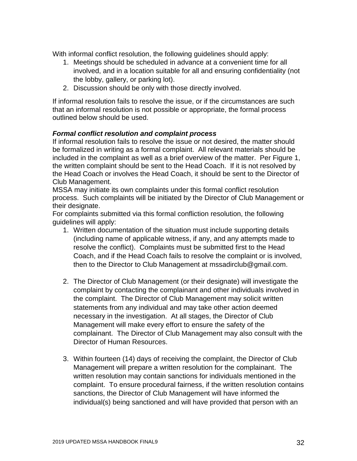With informal conflict resolution, the following guidelines should apply:

- 1. Meetings should be scheduled in advance at a convenient time for all involved, and in a location suitable for all and ensuring confidentiality (not the lobby, gallery, or parking lot).
- 2. Discussion should be only with those directly involved.

If informal resolution fails to resolve the issue, or if the circumstances are such that an informal resolution is not possible or appropriate, the formal process outlined below should be used.

### *Formal conflict resolution and complaint process*

If informal resolution fails to resolve the issue or not desired, the matter should be formalized in writing as a formal complaint. All relevant materials should be included in the complaint as well as a brief overview of the matter. Per Figure 1, the written complaint should be sent to the Head Coach. If it is not resolved by the Head Coach or involves the Head Coach, it should be sent to the Director of Club Management.

MSSA may initiate its own complaints under this formal conflict resolution process. Such complaints will be initiated by the Director of Club Management or their designate.

For complaints submitted via this formal confliction resolution, the following guidelines will apply:

- 1. Written documentation of the situation must include supporting details (including name of applicable witness, if any, and any attempts made to resolve the conflict). Complaints must be submitted first to the Head Coach, and if the Head Coach fails to resolve the complaint or is involved, then to the Director to Club Management at [mssadirclub@gmail.com.](mailto:mssadirclub@gmail.com)
- 2. The Director of Club Management (or their designate) will investigate the complaint by contacting the complainant and other individuals involved in the complaint. The Director of Club Management may solicit written statements from any individual and may take other action deemed necessary in the investigation. At all stages, the Director of Club Management will make every effort to ensure the safety of the complainant. The Director of Club Management may also consult with the Director of Human Resources.
- 3. Within fourteen (14) days of receiving the complaint, the Director of Club Management will prepare a written resolution for the complainant. The written resolution may contain sanctions for individuals mentioned in the complaint. To ensure procedural fairness, if the written resolution contains sanctions, the Director of Club Management will have informed the individual(s) being sanctioned and will have provided that person with an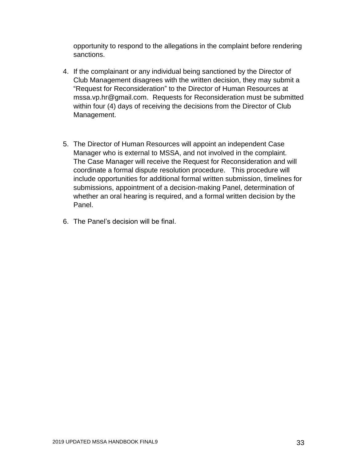opportunity to respond to the allegations in the complaint before rendering sanctions.

- 4. If the complainant or any individual being sanctioned by the Director of Club Management disagrees with the written decision, they may submit a "Request for Reconsideration" to the Director of Human Resources at [mssa.vp.hr@gmail.com.](mailto:mssa.vp.hr@gmail.com) Requests for Reconsideration must be submitted within four (4) days of receiving the decisions from the Director of Club Management.
- 5. The Director of Human Resources will appoint an independent Case Manager who is external to MSSA, and not involved in the complaint. The Case Manager will receive the Request for Reconsideration and will coordinate a formal dispute resolution procedure. This procedure will include opportunities for additional formal written submission, timelines for submissions, appointment of a decision-making Panel, determination of whether an oral hearing is required, and a formal written decision by the Panel.
- 6. The Panel's decision will be final.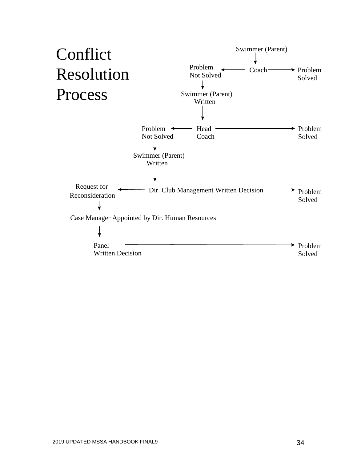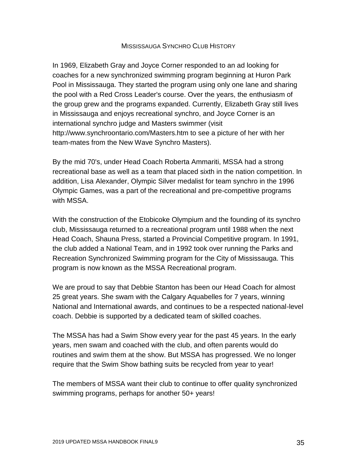#### MISSISSAUGA SYNCHRO CLUB HISTORY

In 1969, Elizabeth Gray and Joyce Corner responded to an ad looking for coaches for a new synchronized swimming program beginning at Huron Park Pool in Mississauga. They started the program using only one lane and sharing the pool with a Red Cross Leader's course. Over the years, the enthusiasm of the group grew and the programs expanded. Currently, Elizabeth Gray still lives in Mississauga and enjoys recreational synchro, and Joyce Corner is an international synchro judge and Masters swimmer (visit http://www.synchroontario.com/Masters.htm to see a picture of her with her team-mates from the New Wave Synchro Masters).

By the mid 70's, under Head Coach Roberta Ammariti, MSSA had a strong recreational base as well as a team that placed sixth in the nation competition. In addition, Lisa Alexander, Olympic Silver medalist for team synchro in the 1996 Olympic Games, was a part of the recreational and pre-competitive programs with MSSA.

With the construction of the Etobicoke Olympium and the founding of its synchro club, Mississauga returned to a recreational program until 1988 when the next Head Coach, Shauna Press, started a Provincial Competitive program. In 1991, the club added a National Team, and in 1992 took over running the Parks and Recreation Synchronized Swimming program for the City of Mississauga. This program is now known as the MSSA Recreational program.

We are proud to say that Debbie Stanton has been our Head Coach for almost 25 great years. She swam with the Calgary Aquabelles for 7 years, winning National and International awards, and continues to be a respected national-level coach. Debbie is supported by a dedicated team of skilled coaches.

The MSSA has had a Swim Show every year for the past 45 years. In the early years, men swam and coached with the club, and often parents would do routines and swim them at the show. But MSSA has progressed. We no longer require that the Swim Show bathing suits be recycled from year to year!

The members of MSSA want their club to continue to offer quality synchronized swimming programs, perhaps for another 50+ years!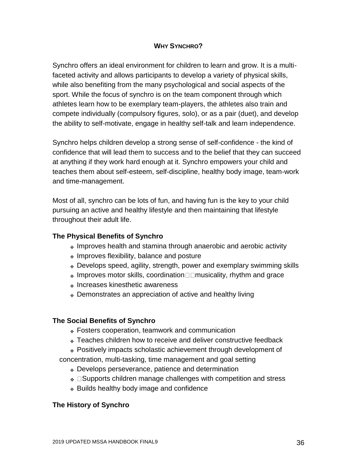### **WHY SYNCHRO?**

Synchro offers an ideal environment for children to learn and grow. It is a multifaceted activity and allows participants to develop a variety of physical skills, while also benefiting from the many psychological and social aspects of the sport. While the focus of synchro is on the team component through which athletes learn how to be exemplary team-players, the athletes also train and compete individually (compulsory figures, solo), or as a pair (duet), and develop the ability to self-motivate, engage in healthy self-talk and learn independence.

Synchro helps children develop a strong sense of self-confidence - the kind of confidence that will lead them to success and to the belief that they can succeed at anything if they work hard enough at it. Synchro empowers your child and teaches them about self-esteem, self-discipline, healthy body image, team-work and time-management.

Most of all, synchro can be lots of fun, and having fun is the key to your child pursuing an active and healthy lifestyle and then maintaining that lifestyle throughout their adult life.

## **The Physical Benefits of Synchro**

- ❖ Improves health and stamina through anaerobic and aerobic activity
- ❖ Improves flexibility, balance and posture
- ❖ Develops speed, agility, strength, power and exemplary swimming skills
- $\bullet$  Improves motor skills, coordination  $\Box$  musicality, rhythm and grace
- ❖ Increases kinesthetic awareness
- ❖ Demonstrates an appreciation of active and healthy living

## **The Social Benefits of Synchro**

- ❖ Fosters cooperation, teamwork and communication
- ❖ Teaches children how to receive and deliver constructive feedback
- ❖ Positively impacts scholastic achievement through development of
- concentration, multi-tasking, time management and goal setting
	- ❖ Develops perseverance, patience and determination
	- $\triangleleft$   $\Box$  Supports children manage challenges with competition and stress
	- ❖ Builds healthy body image and confidence

## **The History of Synchro**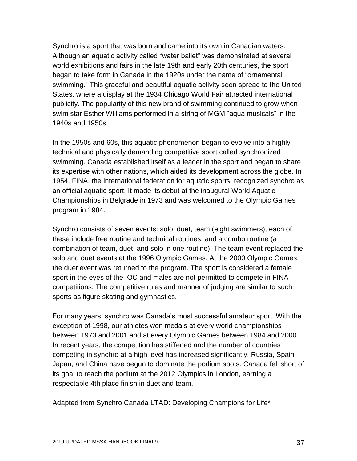Synchro is a sport that was born and came into its own in Canadian waters. Although an aquatic activity called "water ballet" was demonstrated at several world exhibitions and fairs in the late 19th and early 20th centuries, the sport began to take form in Canada in the 1920s under the name of "ornamental swimming." This graceful and beautiful aquatic activity soon spread to the United States, where a display at the 1934 Chicago World Fair attracted international publicity. The popularity of this new brand of swimming continued to grow when swim star Esther Williams performed in a string of MGM "aqua musicals" in the 1940s and 1950s.

In the 1950s and 60s, this aquatic phenomenon began to evolve into a highly technical and physically demanding competitive sport called synchronized swimming. Canada established itself as a leader in the sport and began to share its expertise with other nations, which aided its development across the globe. In 1954, FINA, the international federation for aquatic sports, recognized synchro as an official aquatic sport. It made its debut at the inaugural World Aquatic Championships in Belgrade in 1973 and was welcomed to the Olympic Games program in 1984.

Synchro consists of seven events: solo, duet, team (eight swimmers), each of these include free routine and technical routines, and a combo routine (a combination of team, duet, and solo in one routine). The team event replaced the solo and duet events at the 1996 Olympic Games. At the 2000 Olympic Games, the duet event was returned to the program. The sport is considered a female sport in the eyes of the IOC and males are not permitted to compete in FINA competitions. The competitive rules and manner of judging are similar to such sports as figure skating and gymnastics.

For many years, synchro was Canada's most successful amateur sport. With the exception of 1998, our athletes won medals at every world championships between 1973 and 2001 and at every Olympic Games between 1984 and 2000. In recent years, the competition has stiffened and the number of countries competing in synchro at a high level has increased significantly. Russia, Spain, Japan, and China have begun to dominate the podium spots. Canada fell short of its goal to reach the podium at the 2012 Olympics in London, earning a respectable 4th place finish in duet and team.

Adapted from Synchro Canada LTAD: Developing Champions for Life\*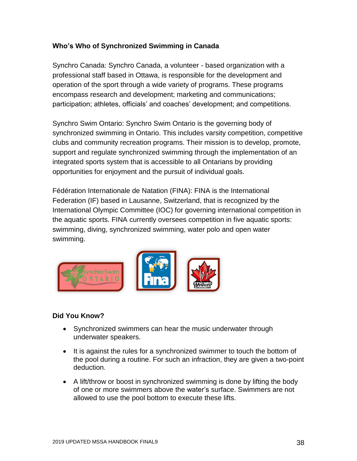## **Who's Who of Synchronized Swimming in Canada**

Synchro Canada: Synchro Canada, a volunteer - based organization with a professional staff based in Ottawa, is responsible for the development and operation of the sport through a wide variety of programs. These programs encompass research and development; marketing and communications; participation; athletes, officials' and coaches' development; and competitions.

Synchro Swim Ontario: Synchro Swim Ontario is the governing body of synchronized swimming in Ontario. This includes varsity competition, competitive clubs and community recreation programs. Their mission is to develop, promote, support and regulate synchronized swimming through the implementation of an integrated sports system that is accessible to all Ontarians by providing opportunities for enjoyment and the pursuit of individual goals.

Fédération Internationale de Natation (FINA): FINA is the International Federation (IF) based in Lausanne, Switzerland, that is recognized by the International Olympic Committee (IOC) for governing international competition in the aquatic sports. FINA currently oversees competition in five aquatic sports: swimming, diving, synchronized swimming, water polo and open water swimming.



## **Did You Know?**

- Synchronized swimmers can hear the music underwater through underwater speakers.
- It is against the rules for a synchronized swimmer to touch the bottom of the pool during a routine. For such an infraction, they are given a two-point deduction.
- A lift/throw or boost in synchronized swimming is done by lifting the body of one or more swimmers above the water's surface. Swimmers are not allowed to use the pool bottom to execute these lifts.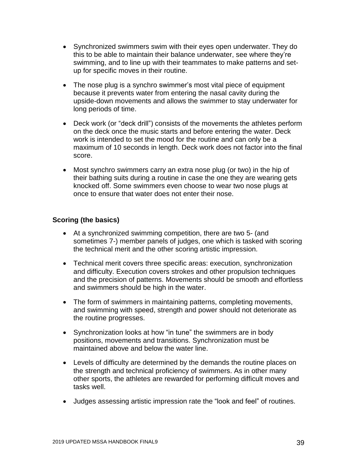- Synchronized swimmers swim with their eyes open underwater. They do this to be able to maintain their balance underwater, see where they're swimming, and to line up with their teammates to make patterns and setup for specific moves in their routine.
- The nose plug is a synchro swimmer's most vital piece of equipment because it prevents water from entering the nasal cavity during the upside-down movements and allows the swimmer to stay underwater for long periods of time.
- Deck work (or "deck drill") consists of the movements the athletes perform on the deck once the music starts and before entering the water. Deck work is intended to set the mood for the routine and can only be a maximum of 10 seconds in length. Deck work does not factor into the final score.
- Most synchro swimmers carry an extra nose plug (or two) in the hip of their bathing suits during a routine in case the one they are wearing gets knocked off. Some swimmers even choose to wear two nose plugs at once to ensure that water does not enter their nose.

### **Scoring (the basics)**

- At a synchronized swimming competition, there are two 5- (and sometimes 7-) member panels of judges, one which is tasked with scoring the technical merit and the other scoring artistic impression.
- Technical merit covers three specific areas: execution, synchronization and difficulty. Execution covers strokes and other propulsion techniques and the precision of patterns. Movements should be smooth and effortless and swimmers should be high in the water.
- The form of swimmers in maintaining patterns, completing movements, and swimming with speed, strength and power should not deteriorate as the routine progresses.
- Synchronization looks at how "in tune" the swimmers are in body positions, movements and transitions. Synchronization must be maintained above and below the water line.
- Levels of difficulty are determined by the demands the routine places on the strength and technical proficiency of swimmers. As in other many other sports, the athletes are rewarded for performing difficult moves and tasks well.
- Judges assessing artistic impression rate the "look and feel" of routines.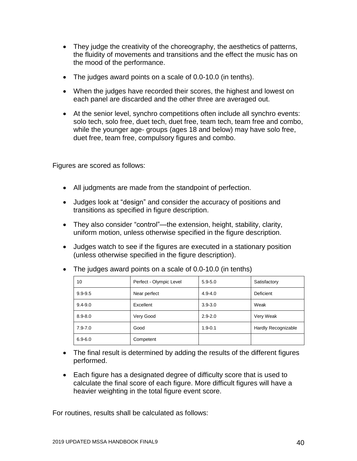- They judge the creativity of the choreography, the aesthetics of patterns, the fluidity of movements and transitions and the effect the music has on the mood of the performance.
- The judges award points on a scale of 0.0-10.0 (in tenths).
- When the judges have recorded their scores, the highest and lowest on each panel are discarded and the other three are averaged out.
- At the senior level, synchro competitions often include all synchro events: solo tech, solo free, duet tech, duet free, team tech, team free and combo, while the younger age- groups (ages 18 and below) may have solo free, duet free, team free, compulsory figures and combo.

Figures are scored as follows:

- All judgments are made from the standpoint of perfection.
- Judges look at "design" and consider the accuracy of positions and transitions as specified in figure description.
- They also consider "control"—the extension, height, stability, clarity, uniform motion, unless otherwise specified in the figure description.
- Judges watch to see if the figures are executed in a stationary position (unless otherwise specified in the figure description).

| 10          | Perfect - Olympic Level | $5.9 - 5.0$ | Satisfactory        |
|-------------|-------------------------|-------------|---------------------|
| $9.9 - 9.5$ | Near perfect            | $4.9 - 4.0$ | Deficient           |
| $9.4 - 9.0$ | Excellent               | $3.9 - 3.0$ | Weak                |
| $8.9 - 8.0$ | Very Good               | $2.9 - 2.0$ | Very Weak           |
| $7.9 - 7.0$ | Good                    | $1.9 - 0.1$ | Hardly Recognizable |
| $6.9 - 6.0$ | Competent               |             |                     |

• The judges award points on a scale of 0.0-10.0 (in tenths)

- The final result is determined by adding the results of the different figures performed.
- Each figure has a designated degree of difficulty score that is used to calculate the final score of each figure. More difficult figures will have a heavier weighting in the total figure event score.

For routines, results shall be calculated as follows: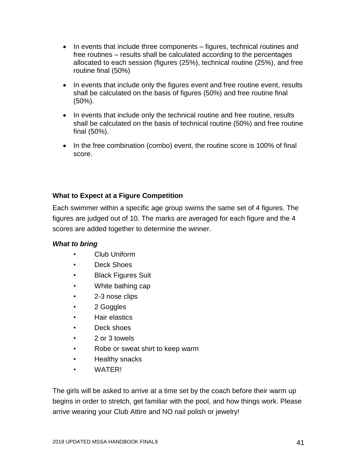- In events that include three components figures, technical routines and free routines – results shall be calculated according to the percentages allocated to each session (figures (25%), technical routine (25%), and free routine final (50%)
- In events that include only the figures event and free routine event, results shall be calculated on the basis of figures (50%) and free routine final (50%).
- In events that include only the technical routine and free routine, results shall be calculated on the basis of technical routine (50%) and free routine final (50%).
- In the free combination (combo) event, the routine score is 100% of final score.

## **What to Expect at a Figure Competition**

Each swimmer within a specific age group swims the same set of 4 figures. The figures are judged out of 10. The marks are averaged for each figure and the 4 scores are added together to determine the winner.

## *What to bring*

- Club Uniform
- Deck Shoes
- Black Figures Suit
- White bathing cap
- 2-3 nose clips
- 2 Goggles
- Hair elastics
- Deck shoes
- 2 or 3 towels
- Robe or sweat shirt to keep warm
- Healthy snacks
- WATER!

The girls will be asked to arrive at a time set by the coach before their warm up begins in order to stretch, get familiar with the pool, and how things work. Please arrive wearing your Club Attire and NO nail polish or jewelry!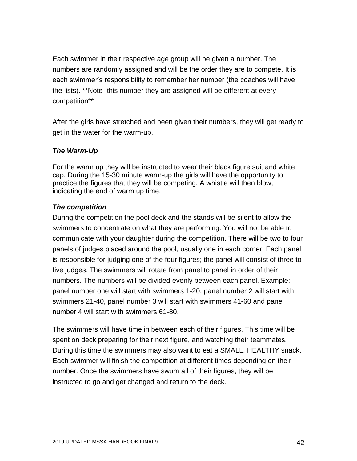Each swimmer in their respective age group will be given a number. The numbers are randomly assigned and will be the order they are to compete. It is each swimmer's responsibility to remember her number (the coaches will have the lists). \*\*Note- this number they are assigned will be different at every competition\*\*

After the girls have stretched and been given their numbers, they will get ready to get in the water for the warm-up.

### *The Warm-Up*

For the warm up they will be instructed to wear their black figure suit and white cap. During the 15-30 minute warm-up the girls will have the opportunity to practice the figures that they will be competing. A whistle will then blow, indicating the end of warm up time.

### *The competition*

During the competition the pool deck and the stands will be silent to allow the swimmers to concentrate on what they are performing. You will not be able to communicate with your daughter during the competition. There will be two to four panels of judges placed around the pool, usually one in each corner. Each panel is responsible for judging one of the four figures; the panel will consist of three to five judges. The swimmers will rotate from panel to panel in order of their numbers. The numbers will be divided evenly between each panel. Example; panel number one will start with swimmers 1-20, panel number 2 will start with swimmers 21-40, panel number 3 will start with swimmers 41-60 and panel number 4 will start with swimmers 61-80.

The swimmers will have time in between each of their figures. This time will be spent on deck preparing for their next figure, and watching their teammates. During this time the swimmers may also want to eat a SMALL, HEALTHY snack. Each swimmer will finish the competition at different times depending on their number. Once the swimmers have swum all of their figures, they will be instructed to go and get changed and return to the deck.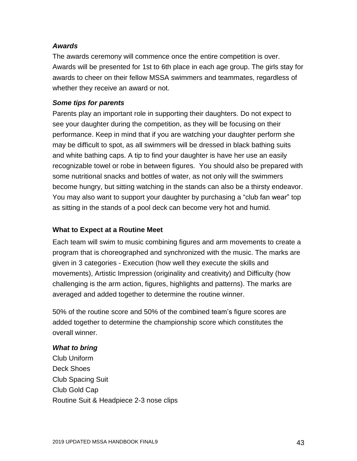### *Awards*

The awards ceremony will commence once the entire competition is over. Awards will be presented for 1st to 6th place in each age group. The girls stay for awards to cheer on their fellow MSSA swimmers and teammates, regardless of whether they receive an award or not.

### *Some tips for parents*

Parents play an important role in supporting their daughters. Do not expect to see your daughter during the competition, as they will be focusing on their performance. Keep in mind that if you are watching your daughter perform she may be difficult to spot, as all swimmers will be dressed in black bathing suits and white bathing caps. A tip to find your daughter is have her use an easily recognizable towel or robe in between figures. You should also be prepared with some nutritional snacks and bottles of water, as not only will the swimmers become hungry, but sitting watching in the stands can also be a thirsty endeavor. You may also want to support your daughter by purchasing a "club fan wear" top as sitting in the stands of a pool deck can become very hot and humid.

### **What to Expect at a Routine Meet**

Each team will swim to music combining figures and arm movements to create a program that is choreographed and synchronized with the music. The marks are given in 3 categories - Execution (how well they execute the skills and movements), Artistic Impression (originality and creativity) and Difficulty (how challenging is the arm action, figures, highlights and patterns). The marks are averaged and added together to determine the routine winner.

50% of the routine score and 50% of the combined team's figure scores are added together to determine the championship score which constitutes the overall winner.

### *What to bring*

Club Uniform Deck Shoes Club Spacing Suit Club Gold Cap Routine Suit & Headpiece 2-3 nose clips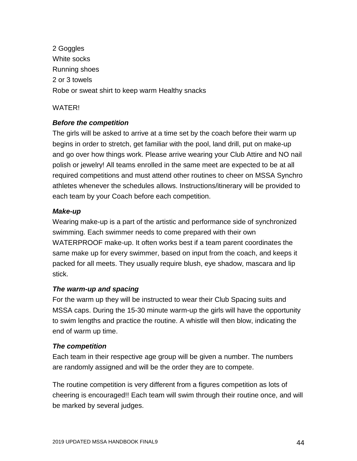2 Goggles White socks Running shoes 2 or 3 towels Robe or sweat shirt to keep warm Healthy snacks

### WATER!

## *Before the competition*

The girls will be asked to arrive at a time set by the coach before their warm up begins in order to stretch, get familiar with the pool, land drill, put on make-up and go over how things work. Please arrive wearing your Club Attire and NO nail polish or jewelry! All teams enrolled in the same meet are expected to be at all required competitions and must attend other routines to cheer on MSSA Synchro athletes whenever the schedules allows. Instructions/itinerary will be provided to each team by your Coach before each competition.

## *Make-up*

Wearing make-up is a part of the artistic and performance side of synchronized swimming. Each swimmer needs to come prepared with their own WATERPROOF make-up. It often works best if a team parent coordinates the same make up for every swimmer, based on input from the coach, and keeps it packed for all meets. They usually require blush, eye shadow, mascara and lip stick.

## *The warm-up and spacing*

For the warm up they will be instructed to wear their Club Spacing suits and MSSA caps. During the 15-30 minute warm-up the girls will have the opportunity to swim lengths and practice the routine. A whistle will then blow, indicating the end of warm up time.

## *The competition*

Each team in their respective age group will be given a number. The numbers are randomly assigned and will be the order they are to compete.

The routine competition is very different from a figures competition as lots of cheering is encouraged!! Each team will swim through their routine once, and will be marked by several judges.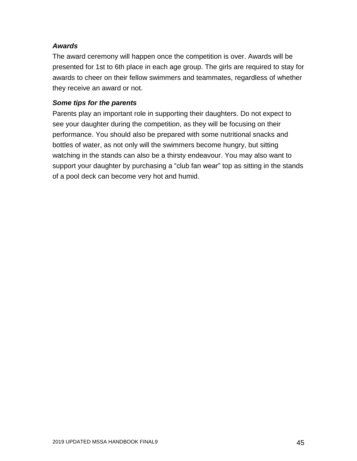### *Awards*

The award ceremony will happen once the competition is over. Awards will be presented for 1st to 6th place in each age group. The girls are required to stay for awards to cheer on their fellow swimmers and teammates, regardless of whether they receive an award or not.

### *Some tips for the parents*

Parents play an important role in supporting their daughters. Do not expect to see your daughter during the competition, as they will be focusing on their performance. You should also be prepared with some nutritional snacks and bottles of water, as not only will the swimmers become hungry, but sitting watching in the stands can also be a thirsty endeavour. You may also want to support your daughter by purchasing a "club fan wear" top as sitting in the stands of a pool deck can become very hot and humid.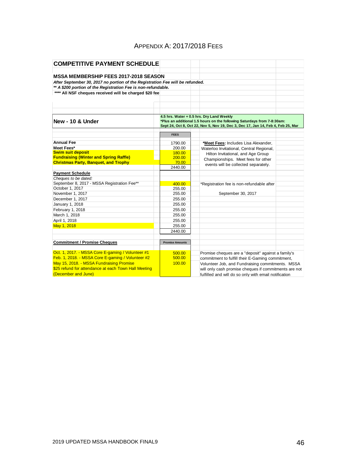## APPENDIX A: 2017/2018 FEES

| <b>COMPETITIVE PAYMENT SCHEDULE</b>                                           |                        |                                                                                  |  |  |  |  |  |
|-------------------------------------------------------------------------------|------------------------|----------------------------------------------------------------------------------|--|--|--|--|--|
|                                                                               |                        |                                                                                  |  |  |  |  |  |
| <b>MSSA MEMBERSHIP FEES 2017-2018 SEASON</b>                                  |                        |                                                                                  |  |  |  |  |  |
| After September 30, 2017 no portion of the Registration Fee will be refunded. |                        |                                                                                  |  |  |  |  |  |
| ** A \$200 portion of the Registration Fee is non-refundable.                 |                        |                                                                                  |  |  |  |  |  |
| **** All NSF cheques received will be charged \$20 fee                        |                        |                                                                                  |  |  |  |  |  |
|                                                                               |                        |                                                                                  |  |  |  |  |  |
|                                                                               |                        |                                                                                  |  |  |  |  |  |
|                                                                               |                        |                                                                                  |  |  |  |  |  |
|                                                                               |                        | 4.5 hrs. Water + 0.5 hrs. Dry Land Weekly                                        |  |  |  |  |  |
| New - 10 & Under                                                              |                        | *Plus an additional 1.5 hours on the following Saturdays from 7-8:30am:          |  |  |  |  |  |
|                                                                               |                        | Sept 24, Oct 8, Oct 22, Nov 5, Nov 19, Dec 3, Dec 17, Jan 14, Feb 4, Feb 25, Mar |  |  |  |  |  |
|                                                                               | <b>FEES</b>            |                                                                                  |  |  |  |  |  |
|                                                                               |                        |                                                                                  |  |  |  |  |  |
| <b>Annual Fee</b>                                                             | 1790.00                | *Meet Fees: Includes Lisa Alexander,                                             |  |  |  |  |  |
| Meet Fees*                                                                    | 200.00                 | Waterloo Invitational, Central Regional,                                         |  |  |  |  |  |
| <b>Swim suit deposit</b>                                                      | 180.00                 | Hilton Invitational, and Age Group                                               |  |  |  |  |  |
| <b>Fundraising (Winter and Spring Raffle)</b>                                 | 200.00                 | Championships. Meet fees for other                                               |  |  |  |  |  |
| <b>Christmas Party, Banquet, and Trophy</b>                                   | 70.00                  | events will be collected separately.                                             |  |  |  |  |  |
|                                                                               | 2440.00                |                                                                                  |  |  |  |  |  |
| <b>Payment Schedule</b>                                                       |                        |                                                                                  |  |  |  |  |  |
| Cheques to be dated:                                                          |                        |                                                                                  |  |  |  |  |  |
| September 8, 2017 - MSSA Registration Fee**                                   | 400.00                 | *Registration fee is non-refundable after                                        |  |  |  |  |  |
| October 1, 2017                                                               | 255.00                 |                                                                                  |  |  |  |  |  |
| November 1, 2017                                                              | 255.00                 | September 30, 2017                                                               |  |  |  |  |  |
| December 1, 2017                                                              | 255.00                 |                                                                                  |  |  |  |  |  |
| January 1, 2018                                                               | 255.00                 |                                                                                  |  |  |  |  |  |
| February 1, 2018                                                              | 255.00                 |                                                                                  |  |  |  |  |  |
| March 1, 2018                                                                 | 255.00                 |                                                                                  |  |  |  |  |  |
| April 1, 2018                                                                 | 255.00                 |                                                                                  |  |  |  |  |  |
| May 1, 2018                                                                   | 255.00                 |                                                                                  |  |  |  |  |  |
|                                                                               | 2440.00                |                                                                                  |  |  |  |  |  |
|                                                                               |                        |                                                                                  |  |  |  |  |  |
| <b>Commitment / Promise Cheques</b>                                           | <b>Promise Amounts</b> |                                                                                  |  |  |  |  |  |
|                                                                               |                        |                                                                                  |  |  |  |  |  |
| Oct. 1, 2017. - MSSA Core E-gaming / Volunteer #1                             | 500.00                 | Promise cheques are a "deposit" against a family's                               |  |  |  |  |  |
| Feb. 1, 2018. - MSSA Core E-gaming / Volunteer #2                             | 500.00                 | commitment to fulfill their E-Gaming commitment,                                 |  |  |  |  |  |
| May 15, 2018. - MSSA Fundraising Promise                                      | 100.00                 | Volunteer Job, and Fundraising commitments. MSSA                                 |  |  |  |  |  |
| \$25 refund for attendance at each Town Hall Meeting                          |                        | will only cash promise cheques if commitments are not                            |  |  |  |  |  |
| (December and June)                                                           |                        | fulfilled and will do so only with email notification                            |  |  |  |  |  |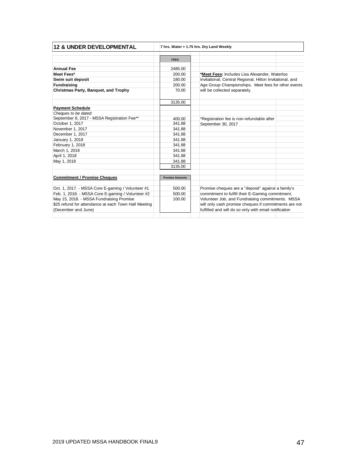| <b>12 &amp; UNDER DEVELOPMENTAL</b>                  |                        | 7 hrs. Water + 1.75 hrs. Dry Land Weekly                 |  |  |  |
|------------------------------------------------------|------------------------|----------------------------------------------------------|--|--|--|
|                                                      | <b>FEES</b>            |                                                          |  |  |  |
| <b>Annual Fee</b>                                    | 2485.00                |                                                          |  |  |  |
| Meet Fees*                                           | 200.00                 | *Meet Fees: Includes Lisa Alexander, Waterloo            |  |  |  |
| Swim suit deposit                                    | 180.00                 | Invitational, Central Regional, Hilton Invitational, and |  |  |  |
| <b>Fundraising</b>                                   | 200.00                 | Age Group Championships. Meet fees for other events      |  |  |  |
| Christmas Party, Banquet, and Trophy                 | 70.00                  | will be collected separately.                            |  |  |  |
|                                                      | 3135.00                |                                                          |  |  |  |
| <b>Payment Schedule</b>                              |                        |                                                          |  |  |  |
| Cheques to be dated:                                 |                        |                                                          |  |  |  |
| September 8, 2017 - MSSA Registration Fee**          | 400.00                 | *Registration fee is non-refundable after                |  |  |  |
| October 1, 2017                                      | 341.88                 | September 30, 2017                                       |  |  |  |
| November 1, 2017                                     | 341.88                 |                                                          |  |  |  |
| December 1, 2017                                     | 341.88                 |                                                          |  |  |  |
| January 1, 2018                                      | 341.88                 |                                                          |  |  |  |
| February 1, 2018                                     | 341.88                 |                                                          |  |  |  |
| March 1, 2018                                        | 341.88                 |                                                          |  |  |  |
| April 1, 2018                                        | 341.88                 |                                                          |  |  |  |
| May 1, 2018                                          | 341.88                 |                                                          |  |  |  |
|                                                      | 3135.00                |                                                          |  |  |  |
| <b>Commitment / Promise Cheques</b>                  | <b>Promise Amounts</b> |                                                          |  |  |  |
| Oct. 1, 2017. - MSSA Core E-gaming / Volunteer #1    | 500.00                 | Promise cheques are a "deposit" against a family's       |  |  |  |
| Feb. 1, 2018. - MSSA Core E-gaming / Volunteer #2    | 500.00                 | commitment to fulfill their E-Gaming commitment,         |  |  |  |
| May 15, 2018. - MSSA Fundraising Promise             | 100.00                 | Volunteer Job, and Fundraising commitments. MSSA         |  |  |  |
| \$25 refund for attendance at each Town Hall Meeting |                        | will only cash promise cheques if commitments are not    |  |  |  |
| (December and June)                                  |                        | fulfilled and will do so only with email notification    |  |  |  |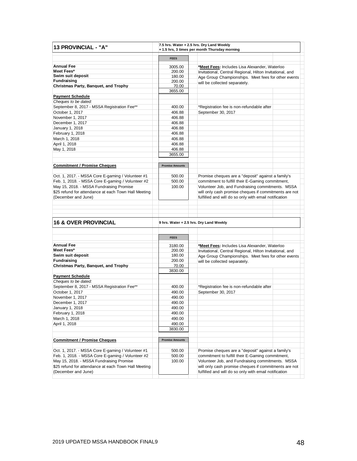| 13 PROVINCIAL - "A"                                  |                        | 7.5 hrs. Water + 2.5 hrs. Dry Land Weekly<br>+ 1.5 hrs, 3 times per month Thursday morning |  |  |
|------------------------------------------------------|------------------------|--------------------------------------------------------------------------------------------|--|--|
|                                                      | <b>FEES</b>            |                                                                                            |  |  |
| <b>Annual Fee</b>                                    | 3005.00                | *Meet Fees: Includes Lisa Alexander, Waterloo                                              |  |  |
| Meet Fees*                                           | 200.00                 | Invitational, Central Regional, Hilton Invitational, and                                   |  |  |
| Swim suit deposit                                    | 180.00                 | Age Group Championships. Meet fees for other events                                        |  |  |
| <b>Fundraising</b>                                   | 200.00                 | will be collected separately.                                                              |  |  |
| Christmas Party, Banquet, and Trophy                 | 70.00                  |                                                                                            |  |  |
|                                                      | 3655.00                |                                                                                            |  |  |
| <b>Payment Schedule</b>                              |                        |                                                                                            |  |  |
| Cheques to be dated:                                 |                        |                                                                                            |  |  |
| September 8, 2017 - MSSA Registration Fee**          | 400.00                 | *Registration fee is non-refundable after                                                  |  |  |
| October 1, 2017                                      | 406.88                 | September 30, 2017                                                                         |  |  |
| November 1, 2017                                     | 406.88                 |                                                                                            |  |  |
| December 1, 2017                                     | 406.88                 |                                                                                            |  |  |
| January 1, 2018                                      | 406.88                 |                                                                                            |  |  |
| February 1, 2018                                     | 406.88                 |                                                                                            |  |  |
| March 1, 2018                                        | 406.88                 |                                                                                            |  |  |
| April 1, 2018                                        | 406.88                 |                                                                                            |  |  |
| May 1, 2018                                          | 406.88                 |                                                                                            |  |  |
|                                                      | 3655.00                |                                                                                            |  |  |
| <b>Commitment / Promise Cheques</b>                  | <b>Promise Amounts</b> |                                                                                            |  |  |
| Oct. 1, 2017. - MSSA Core E-gaming / Volunteer #1    | 500.00                 | Promise cheques are a "deposit" against a family's                                         |  |  |
| Feb. 1, 2018. - MSSA Core E-gaming / Volunteer #2    | 500.00                 | commitment to fulfill their E-Gaming commitment,                                           |  |  |
| May 15, 2018. - MSSA Fundraising Promise             | 100.00                 | Volunteer Job, and Fundraising commitments. MSSA                                           |  |  |
| \$25 refund for attendance at each Town Hall Meeting |                        | will only cash promise cheques if commitments are not                                      |  |  |
| (December and June)                                  |                        | fulfilled and will do so only with email notification                                      |  |  |
|                                                      |                        |                                                                                            |  |  |
|                                                      |                        |                                                                                            |  |  |
| <b>16 &amp; OVER PROVINCIAL</b>                      |                        | 9 hrs. Water + 2.5 hrs. Dry Land Weekly                                                    |  |  |
|                                                      |                        |                                                                                            |  |  |
|                                                      | <b>FEES</b>            |                                                                                            |  |  |
| <b>Annual Fee</b>                                    | 3180.00                | *Meet Fees: Includes Lisa Alexander, Waterloo                                              |  |  |
| Meet Fees*                                           | 200.00                 | Invitational, Central Regional, Hilton Invitational, and                                   |  |  |
| Swim suit deposit                                    | 180.00                 | Age Group Championships. Meet fees for other events                                        |  |  |
| Fundraising                                          | 200.00                 | will be collected conorately                                                               |  |  |

| <b>MEEL FEES</b>                                     | 200.00                 | Invitational, Central Regional, Hilton Invitational, and |  |  |
|------------------------------------------------------|------------------------|----------------------------------------------------------|--|--|
| Swim suit deposit                                    | 180.00                 | Age Group Championships. Meet fees for other events      |  |  |
| <b>Fundraising</b>                                   | 200.00                 | will be collected separately.                            |  |  |
| Christmas Party, Banquet, and Trophy                 | 70.00                  |                                                          |  |  |
|                                                      | 3830.00                |                                                          |  |  |
| <b>Payment Schedule</b>                              |                        |                                                          |  |  |
| Cheques to be dated:                                 |                        |                                                          |  |  |
| September 8, 2017 - MSSA Registration Fee**          | 400.00                 | *Registration fee is non-refundable after                |  |  |
| October 1, 2017                                      | 490.00                 | September 30, 2017                                       |  |  |
| November 1, 2017                                     | 490.00                 |                                                          |  |  |
| December 1, 2017                                     | 490.00                 |                                                          |  |  |
| January 1, 2018                                      | 490.00                 |                                                          |  |  |
| February 1, 2018                                     | 490.00                 |                                                          |  |  |
| March 1, 2018                                        | 490.00                 |                                                          |  |  |
| April 1, 2018                                        | 490.00                 |                                                          |  |  |
|                                                      | 3830.00                |                                                          |  |  |
| <b>Commitment / Promise Cheques</b>                  | <b>Promise Amounts</b> |                                                          |  |  |
| Oct. 1, 2017. - MSSA Core E-gaming / Volunteer #1    | 500.00                 | Promise cheques are a "deposit" against a family's       |  |  |
| Feb. 1, 2018. - MSSA Core E-gaming / Volunteer #2    | 500.00                 | commitment to fulfill their E-Gaming commitment,         |  |  |
| May 15, 2018. - MSSA Fundraising Promise             | 100.00                 | Volunteer Job, and Fundraising commitments. MSSA         |  |  |
| \$25 refund for attendance at each Town Hall Meeting |                        | will only cash promise cheques if commitments are not    |  |  |
| (December and June)                                  |                        | fulfilled and will do so only with email notification    |  |  |
|                                                      |                        |                                                          |  |  |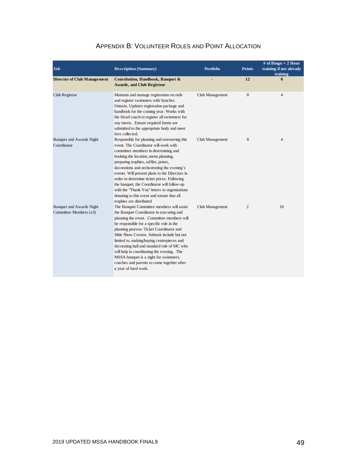| Job                                                       | <b>Description (Summary)</b>                                                                                                                                                                                                                                                                                                                                                                                                                                                                                                            | <b>Portfolio</b> | <b>Points</b>  | # of Bingo $+2$ Hour<br>training if not already<br>training |
|-----------------------------------------------------------|-----------------------------------------------------------------------------------------------------------------------------------------------------------------------------------------------------------------------------------------------------------------------------------------------------------------------------------------------------------------------------------------------------------------------------------------------------------------------------------------------------------------------------------------|------------------|----------------|-------------------------------------------------------------|
| <b>Director of Club Management</b>                        | Constitution, Handbook, Banquet &<br><b>Awards, and Club Registrar</b>                                                                                                                                                                                                                                                                                                                                                                                                                                                                  |                  | 12             | $\mathbf{0}$                                                |
| Club Registrar                                            | Maintain and manage registration records<br>and register swimmers with Synchro<br>Ontario. Updates registration package and<br>handbook for the coming year. Works with<br>the Head coach to register all swimmers for<br>any meets. Ensure required forms are<br>submitted to the appropriate body and meet<br>fees collected.                                                                                                                                                                                                         | Club Management  | 8              | $\overline{4}$                                              |
| <b>Banquet and Awards Night</b><br>Coordinator            | Responsible for planning and overseeing this<br>event. The Coordinator will work with<br>committee members in determining and<br>booking the location, menu planning,<br>preparing trophies, raffles, prizes,<br>decorations and orchestrating the evening's<br>events. Will present plans to the Directors in<br>order to determine ticket prices. Following<br>the banquet, the Coordinator will follow-up<br>with the "Thank You" letters to organizations<br>donating to this event and ensure that all<br>trophies are distributed | Club Management  | 8              | 4                                                           |
| <b>Banquet and Awards Night</b><br>Committee Members (x3) | The Banquet Committee members will assist<br>the Banquet Coordinator in executing and<br>planning the event. Committee members will<br>be responsible for a specific role in the<br>planning process: Ticket Coordinator and<br>Slide Show Creator. Subtask include but not<br>limited to, making/buying centrepieces and<br>decorating hall and standard role of MC who<br>will help in coordinating the evening. The<br>MSSA banquet is a night for swimmers,<br>coaches and parents to come together after<br>a year of hard work.   | Club Management  | $\overline{2}$ | 10                                                          |

## APPENDIX B: VOLUNTEER ROLES AND POINT ALLOCATION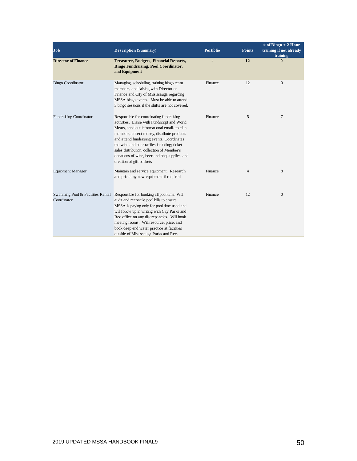| <b>Job</b>                                       | <b>Description (Summary)</b>                                                                                                                                                                                                                                                                                                                                                                                    | <b>Portfolio</b> | <b>Points</b>  | # of Bingo $+2$ Hour<br>training if not already<br>training |
|--------------------------------------------------|-----------------------------------------------------------------------------------------------------------------------------------------------------------------------------------------------------------------------------------------------------------------------------------------------------------------------------------------------------------------------------------------------------------------|------------------|----------------|-------------------------------------------------------------|
| <b>Director of Finance</b>                       | Treasurer, Budgets, Financial Reports,<br><b>Bingo Fundraising, Pool Coordinator,</b><br>and Equipment                                                                                                                                                                                                                                                                                                          |                  | 12             | $\bf{0}$                                                    |
| <b>Bingo Coordinator</b>                         | Managing, scheduling, training bingo team<br>members, and liaising with Director of<br>Finance and City of Mississauga regarding<br>MSSA bingo events. Must be able to attend<br>3 bingo sessions if the shifts are not covered.                                                                                                                                                                                | Finance          | 12             | $\overline{0}$                                              |
| <b>Fundraising Coordinator</b>                   | Responsible for coordinating fundraising<br>activities. Liaise with Fundscript and World<br>Meats, send out informational emails to club<br>members, collect money, distribute products<br>and attend fundraising events. Coordinates<br>the wine and beer raffles including; ticket<br>sales distribution, collection of Member's<br>donations of wine, beer and bbq supplies, and<br>creation of gift baskets | Finance          | 5              | $\tau$                                                      |
| <b>Equipment Manager</b>                         | Maintain and service equipment. Research<br>and price any new equipment if required                                                                                                                                                                                                                                                                                                                             | Finance          | $\overline{4}$ | 8                                                           |
| Swimming Pool & Facilities Rental<br>Coordinator | Responsible for booking all pool time. Will<br>audit and reconcile pool bills to ensure<br>MSSA is paying only for pool time used and<br>will follow up in writing with City Parks and<br>Rec office on any discrepancies. Will book<br>meeting rooms. Will resource, price, and<br>book deep end water practice at facilities<br>outside of Mississauga Parks and Rec.                                         | Finance          | 12             | $\overline{0}$                                              |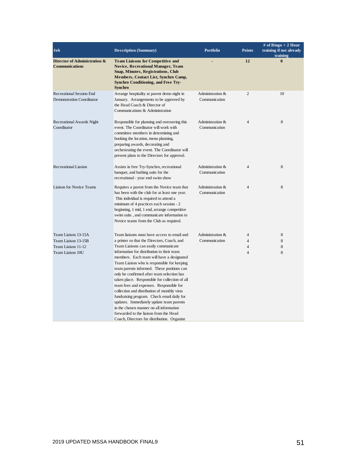| <b>Description (Summary)</b>                                                                                                                                                                                                                                                                                                                                                                                                                                                                                                                                                                                                                               | <b>Portfolio</b>                       | <b>Points</b>                              | # of Bingo + 2 Hour<br>training if not already<br>training |
|------------------------------------------------------------------------------------------------------------------------------------------------------------------------------------------------------------------------------------------------------------------------------------------------------------------------------------------------------------------------------------------------------------------------------------------------------------------------------------------------------------------------------------------------------------------------------------------------------------------------------------------------------------|----------------------------------------|--------------------------------------------|------------------------------------------------------------|
| <b>Team Liaisons for Competitive and</b><br><b>Novice, Recreational Manager, Team</b><br>Snap, Minutes, Registrations, Club<br>Members, Contact List, Synchro Camp,<br><b>Synchro Conditioning, and Free Try-</b><br><b>Synchro</b>                                                                                                                                                                                                                                                                                                                                                                                                                        |                                        | 12                                         | $\bf{0}$                                                   |
| Arrange hospitality at parent demo night in<br>January. Arrangements to be approved by<br>the Head Coach & Director of<br>Communications & Administration                                                                                                                                                                                                                                                                                                                                                                                                                                                                                                  | Administration &<br>Communication      | $\overline{2}$                             | 10                                                         |
| Responsible for planning and overseeing this<br>event. The Coordinator will work with<br>committee members in determining and<br>booking the location, menu planning,<br>preparing awards, decorating and<br>orchestrating the event. The Coordinator will<br>present plans to the Directors for approval.                                                                                                                                                                                                                                                                                                                                                 | Administration &<br>Communication      | $\overline{4}$                             | 8                                                          |
| Assists in free Try-Synchro, recreational<br>banquet, and bathing suits for the<br>recreational - year end swim show                                                                                                                                                                                                                                                                                                                                                                                                                                                                                                                                       | Administration &<br>Communication      | $\overline{4}$                             | 8                                                          |
| Requires a parent from the Novice team that<br>has been with the club for at least one year.<br>This individual is required to attend a<br>minimum of 4 practices each session - 2<br>beginning, 1 mid, 1 end, arrange competitive<br>swim suits, and communicate information to<br>Novice teams from the Club as required.                                                                                                                                                                                                                                                                                                                                | Administration &<br>Communication      | $\overline{4}$                             | 8                                                          |
| Team liaisons must have access to email and<br>a printer so that the Directors, Coach, and<br>Team Liaisons can easily communicate<br>information for distribution to their team<br>members. Each team will have a designated<br>Team Liaison who is responsible for keeping<br>team parents informed. These positions can<br>only be confirmed after team selection has<br>taken place. Responsible for collection of all<br>team fees and expenses. Responsible for<br>collection and distribution of monthly vista<br>fundraising program. Check email daily for<br>updates. Immediately update team parents<br>in the chosen manner on all information | Administration &<br>Communication      | $\overline{4}$<br>$\overline{4}$<br>4<br>4 | 8<br>8<br>8<br>8                                           |
|                                                                                                                                                                                                                                                                                                                                                                                                                                                                                                                                                                                                                                                            | forwarded to the liaison from the Head |                                            |                                                            |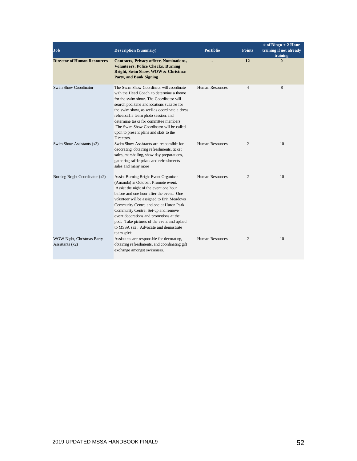| Job                                             | <b>Description (Summary)</b>                                                                                                                                                                                                                                                                                                                                                                                                                         | <b>Portfolio</b>       | <b>Points</b>  | # of Bingo $+2$ Hour<br>training if not already<br>training |  |
|-------------------------------------------------|------------------------------------------------------------------------------------------------------------------------------------------------------------------------------------------------------------------------------------------------------------------------------------------------------------------------------------------------------------------------------------------------------------------------------------------------------|------------------------|----------------|-------------------------------------------------------------|--|
| <b>Director of Human Resources</b>              | <b>Contracts, Privacy officer, Nominations,</b><br><b>Volunteers, Police Checks, Burning</b><br>Bright, Swim Show, WOW & Christmas<br>Party, and Bank Signing                                                                                                                                                                                                                                                                                        |                        | 12             | $\mathbf{0}$                                                |  |
| Swim Show Coordinator                           | The Swim Show Coordinaor will coordinate<br>with the Head Coach, to determine a theme<br>for the swim show. The Coordinator will<br>search pool time and locations suitable for<br>the swim show, as well as coordinate a dress<br>rehearsal, a team photo session, and<br>determine tasks for committee members.<br>The Swim Show Coordinator will be called<br>upon to present plans and slots to the<br>Directors.                                | Human Resources        | 4              | 8                                                           |  |
| Swim Show Assistants (x3)                       | Swim Show Assistants are responsible for<br>decorating, obtaining refreshments, ticket<br>sales, marshalling, show day preparations,<br>gathering raffle prizes and refreshments<br>sales and many more                                                                                                                                                                                                                                              | <b>Human Resources</b> | $\overline{c}$ | 10                                                          |  |
| Burning Bright Coordinator (x2)                 | Assist Burning Bright Event Organizer<br>(Amanda) in October. Promote event.<br>Assist the night of the event one hour<br>before and one hour after the event. One<br>volunteer will be assigned to Erin Meadows<br>Community Centre and one at Huron Park<br>Community Centre. Set-up and remove<br>event decorations and promotions at the<br>pool. Take pictures of the event and upload<br>to MSSA site. Advocate and demostrate<br>team spirit. | <b>Human Resources</b> | 2              | 10                                                          |  |
| WOW Night, Christmas Party<br>Assistants $(x2)$ | Assistants are responsible for decorating,<br>obtaining refreshments, and coordinating gift<br>exchange amongst swimmers.                                                                                                                                                                                                                                                                                                                            | <b>Human Resources</b> | $\overline{2}$ | 10                                                          |  |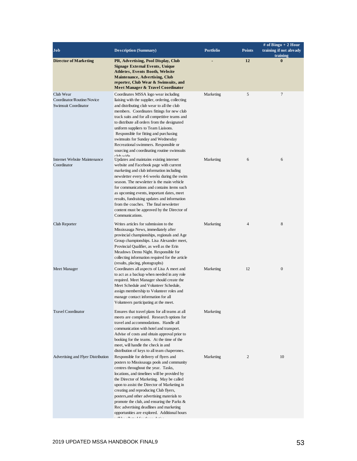| Job                                                             | <b>Description (Summary)</b>                                                                                                                                                                                                                                                                                                                                                                                                                                                                               | <b>Portfolio</b> | <b>Points</b>  | # of Bingo $+2$ Hour<br>training if not already<br>training |
|-----------------------------------------------------------------|------------------------------------------------------------------------------------------------------------------------------------------------------------------------------------------------------------------------------------------------------------------------------------------------------------------------------------------------------------------------------------------------------------------------------------------------------------------------------------------------------------|------------------|----------------|-------------------------------------------------------------|
| <b>Director of Marketing</b>                                    | PR, Advertising, Pool Display, Club<br><b>Signage External Events, Unique</b><br><b>Athletes, Events Booth, Website</b><br><b>Maintenance, Advertising, Club</b><br>reporter, Club Wear & Swimsuits, and<br>Meet Manager & Travel Coordinator                                                                                                                                                                                                                                                              |                  | 12             | $\bf{0}$                                                    |
| Club Wear<br>Coordinator/Routine/Novice<br>Swimsuit Coordinator | Coordinates MSSA logo wear including<br>liaising with the supplier, ordering, collecting<br>and distributing club wear to all the club<br>members. Coordinates fittings for new club<br>track suits and for all competitive teams and<br>to distribute all orders from the designated<br>uniform suppliers to Team Liaisons.<br>Responsible for fitting and purchasing<br>swimsuits for Sunday and Wednesday<br>Recreational swimmers. Responsible or<br>sourcing and coordinating routine swimsuits       | Marketing        | 5              | 7                                                           |
| Internet Website Maintenance<br>Coordinator                     | $chh$ wide<br>Updates and maintains existing internet<br>website and Facebook page with current<br>marketing and club information including<br>newsletter every 4-6 weeks during the swim<br>season. The newsletter is the main vehicle<br>for communications and contains items such<br>as upcoming events, important dates, meet<br>results, fundraising updates and information<br>from the coaches. The final newsletter<br>content must be approved by the Director of<br>Communications.             | Marketing        | 6              | 6                                                           |
| Club Reporter                                                   | Writes articles for submission to the<br>Mississauga News, immediately after<br>provincial championships, regionals and Age<br>Group championships. Lisa Alexander meet,<br>Provincial Qualifier, as well as the Erin<br>Meadows Demo Night. Responsible for<br>collecting information required for the article<br>(results, placing, photographs)                                                                                                                                                         | Marketing        | $\overline{4}$ | 8                                                           |
| Meet Manager                                                    | Coordinates all aspects of Lisa A meet and<br>to act as a backup when needed in any role<br>required. Meet Manager should create the<br>Meet Schedule and Volunteer Schedule,<br>assign membership to Volunteer roles and<br>manage contact information for all<br>Volunteers participating at the meet.                                                                                                                                                                                                   | Marketing        | 12             | $\boldsymbol{0}$                                            |
| <b>Travel Coordinator</b>                                       | Ensures that travel plans for all teams at all<br>meets are completed. Research options for<br>travel and accommodations. Handle all<br>communication with hotel and transport.<br>Advise of costs and obtain approval prior to<br>booking for the teams. At the time of the<br>meet, will handle the check in and<br>distribution of keys to all team chaperones.                                                                                                                                         | Marketing        |                |                                                             |
| Advertising and Flyer Distribution                              | Responsible for delivery of flyers and<br>posters to Mississauga pools and community<br>centres throughout the year. Tasks,<br>locations, and timelines will be provided by<br>the Director of Marketing. May be called<br>upon to assist the Director of Marketing in<br>creating and reproducing Club flyers,<br>posters, and other advertising materials to<br>promote the club, and ensuring the Parks $\&$<br>Rec advertising deadlines and marketing<br>opportunities are explored. Additional hours | Marketing        | 2              | 10                                                          |

will be allotted for these duties.